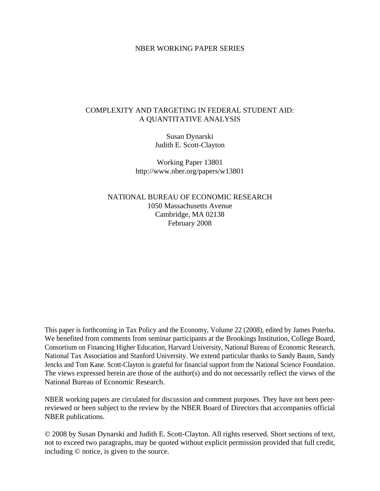## NBER WORKING PAPER SERIES

# COMPLEXITY AND TARGETING IN FEDERAL STUDENT AID: A QUANTITATIVE ANALYSIS

Susan Dynarski Judith E. Scott-Clayton

Working Paper 13801 http://www.nber.org/papers/w13801

NATIONAL BUREAU OF ECONOMIC RESEARCH 1050 Massachusetts Avenue Cambridge, MA 02138 February 2008

This paper is forthcoming in Tax Policy and the Economy, Volume 22 (2008), edited by James Poterba. We benefited from comments from seminar participants at the Brookings Institution, College Board, Consortium on Financing Higher Education, Harvard University, National Bureau of Economic Research, National Tax Association and Stanford University. We extend particular thanks to Sandy Baum, Sandy Jencks and Tom Kane. Scott-Clayton is grateful for financial support from the National Science Foundation. The views expressed herein are those of the author(s) and do not necessarily reflect the views of the National Bureau of Economic Research.

NBER working papers are circulated for discussion and comment purposes. They have not been peerreviewed or been subject to the review by the NBER Board of Directors that accompanies official NBER publications.

© 2008 by Susan Dynarski and Judith E. Scott-Clayton. All rights reserved. Short sections of text, not to exceed two paragraphs, may be quoted without explicit permission provided that full credit, including © notice, is given to the source.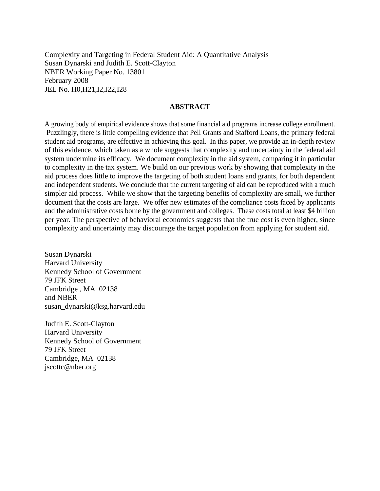Complexity and Targeting in Federal Student Aid: A Quantitative Analysis Susan Dynarski and Judith E. Scott-Clayton NBER Working Paper No. 13801 February 2008 JEL No. H0,H21,I2,I22,I28

## **ABSTRACT**

A growing body of empirical evidence shows that some financial aid programs increase college enrollment. Puzzlingly, there is little compelling evidence that Pell Grants and Stafford Loans, the primary federal student aid programs, are effective in achieving this goal. In this paper, we provide an in-depth review of this evidence, which taken as a whole suggests that complexity and uncertainty in the federal aid system undermine its efficacy. We document complexity in the aid system, comparing it in particular to complexity in the tax system. We build on our previous work by showing that complexity in the aid process does little to improve the targeting of both student loans and grants, for both dependent and independent students. We conclude that the current targeting of aid can be reproduced with a much simpler aid process. While we show that the targeting benefits of complexity are small, we further document that the costs are large. We offer new estimates of the compliance costs faced by applicants and the administrative costs borne by the government and colleges. These costs total at least \$4 billion per year. The perspective of behavioral economics suggests that the true cost is even higher, since complexity and uncertainty may discourage the target population from applying for student aid.

Susan Dynarski Harvard University Kennedy School of Government 79 JFK Street Cambridge , MA 02138 and NBER susan\_dynarski@ksg.harvard.edu

Judith E. Scott-Clayton Harvard University Kennedy School of Government 79 JFK Street Cambridge, MA 02138 jscottc@nber.org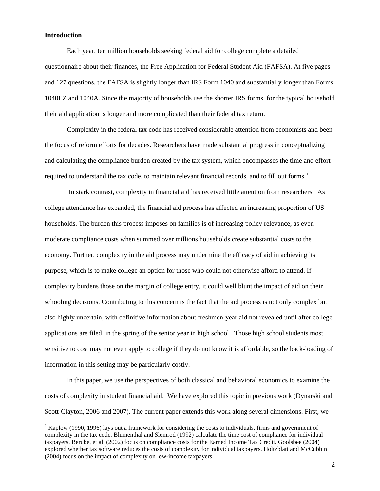### **Introduction**

 $\overline{a}$ 

Each year, ten million households seeking federal aid for college complete a detailed questionnaire about their finances, the Free Application for Federal Student Aid (FAFSA). At five pages and 127 questions, the FAFSA is slightly longer than IRS Form 1040 and substantially longer than Forms 1040EZ and 1040A. Since the majority of households use the shorter IRS forms, for the typical household their aid application is longer and more complicated than their federal tax return.

Complexity in the federal tax code has received considerable attention from economists and been the focus of reform efforts for decades. Researchers have made substantial progress in conceptualizing and calculating the compliance burden created by the tax system, which encompasses the time and effort required to understand the tax code, to maintain relevant financial records, and to fill out forms.<sup>[1](#page-2-0)</sup>

 In stark contrast, complexity in financial aid has received little attention from researchers. As college attendance has expanded, the financial aid process has affected an increasing proportion of US households. The burden this process imposes on families is of increasing policy relevance, as even moderate compliance costs when summed over millions households create substantial costs to the economy. Further, complexity in the aid process may undermine the efficacy of aid in achieving its purpose, which is to make college an option for those who could not otherwise afford to attend. If complexity burdens those on the margin of college entry, it could well blunt the impact of aid on their schooling decisions. Contributing to this concern is the fact that the aid process is not only complex but also highly uncertain, with definitive information about freshmen-year aid not revealed until after college applications are filed, in the spring of the senior year in high school. Those high school students most sensitive to cost may not even apply to college if they do not know it is affordable, so the back-loading of information in this setting may be particularly costly.

In this paper, we use the perspectives of both classical and behavioral economics to examine the costs of complexity in student financial aid. We have explored this topic in previous work (Dynarski and Scott-Clayton, 2006 and 2007). The current paper extends this work along several dimensions. First, we

<span id="page-2-0"></span><sup>&</sup>lt;sup>1</sup> Kaplow (1990, 1996) lays out a framework for considering the costs to individuals, firms and government of complexity in the tax code. Blumenthal and Slemrod (1992) calculate the time cost of compliance for individual taxpayers. Berube, et al. (2002) focus on compliance costs for the Earned Income Tax Credit. Goolsbee (2004) explored whether tax software reduces the costs of complexity for individual taxpayers. Holtzblatt and McCubbin (2004) focus on the impact of complexity on low-income taxpayers.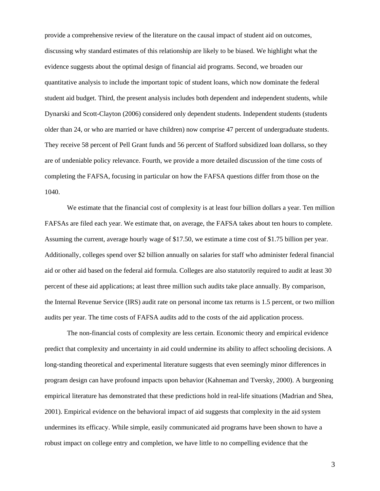provide a comprehensive review of the literature on the causal impact of student aid on outcomes, discussing why standard estimates of this relationship are likely to be biased. We highlight what the evidence suggests about the optimal design of financial aid programs. Second, we broaden our quantitative analysis to include the important topic of student loans, which now dominate the federal student aid budget. Third, the present analysis includes both dependent and independent students, while Dynarski and Scott-Clayton (2006) considered only dependent students. Independent students (students older than 24, or who are married or have children) now comprise 47 percent of undergraduate students. They receive 58 percent of Pell Grant funds and 56 percent of Stafford subsidized loan dollarss, so they are of undeniable policy relevance. Fourth, we provide a more detailed discussion of the time costs of completing the FAFSA, focusing in particular on how the FAFSA questions differ from those on the 1040.

We estimate that the financial cost of complexity is at least four billion dollars a year. Ten million FAFSAs are filed each year. We estimate that, on average, the FAFSA takes about ten hours to complete. Assuming the current, average hourly wage of \$17.50, we estimate a time cost of \$1.75 billion per year. Additionally, colleges spend over \$2 billion annually on salaries for staff who administer federal financial aid or other aid based on the federal aid formula. Colleges are also statutorily required to audit at least 30 percent of these aid applications; at least three million such audits take place annually. By comparison, the Internal Revenue Service (IRS) audit rate on personal income tax returns is 1.5 percent, or two million audits per year. The time costs of FAFSA audits add to the costs of the aid application process.

The non-financial costs of complexity are less certain. Economic theory and empirical evidence predict that complexity and uncertainty in aid could undermine its ability to affect schooling decisions. A long-standing theoretical and experimental literature suggests that even seemingly minor differences in program design can have profound impacts upon behavior (Kahneman and Tversky, 2000). A burgeoning empirical literature has demonstrated that these predictions hold in real-life situations (Madrian and Shea, 2001). Empirical evidence on the behavioral impact of aid suggests that complexity in the aid system undermines its efficacy. While simple, easily communicated aid programs have been shown to have a robust impact on college entry and completion, we have little to no compelling evidence that the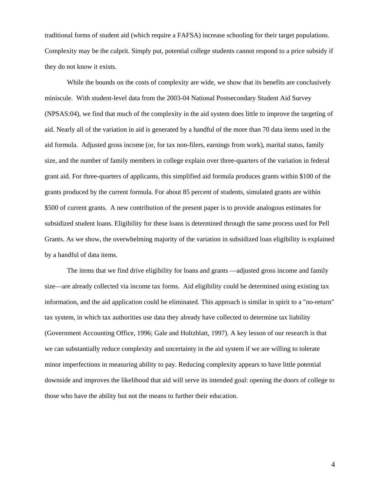traditional forms of student aid (which require a FAFSA) increase schooling for their target populations. Complexity may be the culprit. Simply put, potential college students cannot respond to a price subsidy if they do not know it exists.

While the bounds on the costs of complexity are wide, we show that its benefits are conclusively miniscule. With student-level data from the 2003-04 National Postsecondary Student Aid Survey (NPSAS:04), we find that much of the complexity in the aid system does little to improve the targeting of aid. Nearly all of the variation in aid is generated by a handful of the more than 70 data items used in the aid formula. Adjusted gross income (or, for tax non-filers, earnings from work), marital status, family size, and the number of family members in college explain over three-quarters of the variation in federal grant aid. For three-quarters of applicants, this simplified aid formula produces grants within \$100 of the grants produced by the current formula. For about 85 percent of students, simulated grants are within \$500 of current grants. A new contribution of the present paper is to provide analogous estimates for subsidized student loans. Eligibility for these loans is determined through the same process used for Pell Grants. As we show, the overwhelming majority of the variation in subsidized loan eligibility is explained by a handful of data items.

The items that we find drive eligibility for loans and grants —adjusted gross income and family size—are already collected via income tax forms. Aid eligibility could be determined using existing tax information, and the aid application could be eliminated. This approach is similar in spirit to a "no-return" tax system, in which tax authorities use data they already have collected to determine tax liability (Government Accounting Office, 1996; Gale and Holtzblatt, 1997). A key lesson of our research is that we can substantially reduce complexity and uncertainty in the aid system if we are willing to tolerate minor imperfections in measuring ability to pay. Reducing complexity appears to have little potential downside and improves the likelihood that aid will serve its intended goal: opening the doors of college to those who have the ability but not the means to further their education.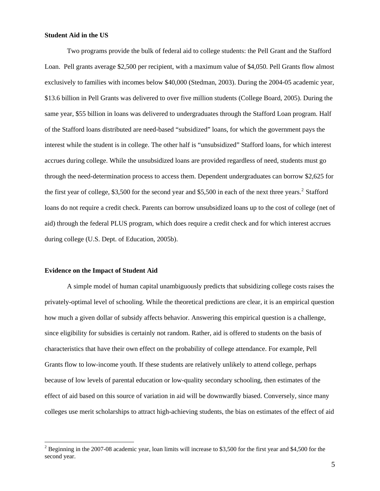#### **Student Aid in the US**

Two programs provide the bulk of federal aid to college students: the Pell Grant and the Stafford Loan. Pell grants average \$2,500 per recipient, with a maximum value of \$4,050. Pell Grants flow almost exclusively to families with incomes below \$40,000 (Stedman, 2003). During the 2004-05 academic year, \$13.6 billion in Pell Grants was delivered to over five million students (College Board, 2005). During the same year, \$55 billion in loans was delivered to undergraduates through the Stafford Loan program. Half of the Stafford loans distributed are need-based "subsidized" loans, for which the government pays the interest while the student is in college. The other half is "unsubsidized" Stafford loans, for which interest accrues during college. While the unsubsidized loans are provided regardless of need, students must go through the need-determination process to access them. Dependent undergraduates can borrow \$2,625 for the first year of college, \$3,500 for the second year and \$5,500 in each of the next three years.<sup>[2](#page-5-0)</sup> Stafford loans do not require a credit check. Parents can borrow unsubsidized loans up to the cost of college (net of aid) through the federal PLUS program, which does require a credit check and for which interest accrues during college (U.S. Dept. of Education, 2005b).

#### **Evidence on the Impact of Student Aid**

A simple model of human capital unambiguously predicts that subsidizing college costs raises the privately-optimal level of schooling. While the theoretical predictions are clear, it is an empirical question how much a given dollar of subsidy affects behavior. Answering this empirical question is a challenge, since eligibility for subsidies is certainly not random. Rather, aid is offered to students on the basis of characteristics that have their own effect on the probability of college attendance. For example, Pell Grants flow to low-income youth. If these students are relatively unlikely to attend college, perhaps because of low levels of parental education or low-quality secondary schooling, then estimates of the effect of aid based on this source of variation in aid will be downwardly biased. Conversely, since many colleges use merit scholarships to attract high-achieving students, the bias on estimates of the effect of aid

<span id="page-5-0"></span><sup>&</sup>lt;sup>2</sup> Beginning in the 2007-08 academic year, loan limits will increase to \$3,500 for the first year and \$4,500 for the second year.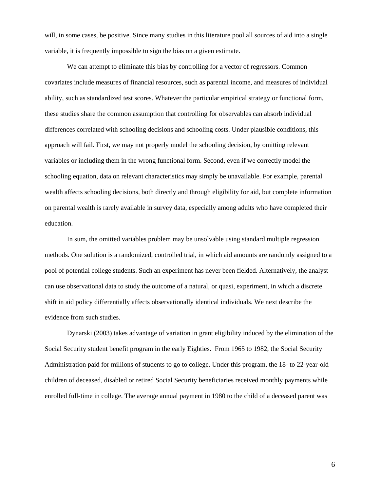will, in some cases, be positive. Since many studies in this literature pool all sources of aid into a single variable, it is frequently impossible to sign the bias on a given estimate.

We can attempt to eliminate this bias by controlling for a vector of regressors. Common covariates include measures of financial resources, such as parental income, and measures of individual ability, such as standardized test scores. Whatever the particular empirical strategy or functional form, these studies share the common assumption that controlling for observables can absorb individual differences correlated with schooling decisions and schooling costs. Under plausible conditions, this approach will fail. First, we may not properly model the schooling decision, by omitting relevant variables or including them in the wrong functional form. Second, even if we correctly model the schooling equation, data on relevant characteristics may simply be unavailable. For example, parental wealth affects schooling decisions, both directly and through eligibility for aid, but complete information on parental wealth is rarely available in survey data, especially among adults who have completed their education.

In sum, the omitted variables problem may be unsolvable using standard multiple regression methods. One solution is a randomized, controlled trial, in which aid amounts are randomly assigned to a pool of potential college students. Such an experiment has never been fielded. Alternatively, the analyst can use observational data to study the outcome of a natural, or quasi, experiment, in which a discrete shift in aid policy differentially affects observationally identical individuals. We next describe the evidence from such studies.

Dynarski (2003) takes advantage of variation in grant eligibility induced by the elimination of the Social Security student benefit program in the early Eighties. From 1965 to 1982, the Social Security Administration paid for millions of students to go to college. Under this program, the 18- to 22-year-old children of deceased, disabled or retired Social Security beneficiaries received monthly payments while enrolled full-time in college. The average annual payment in 1980 to the child of a deceased parent was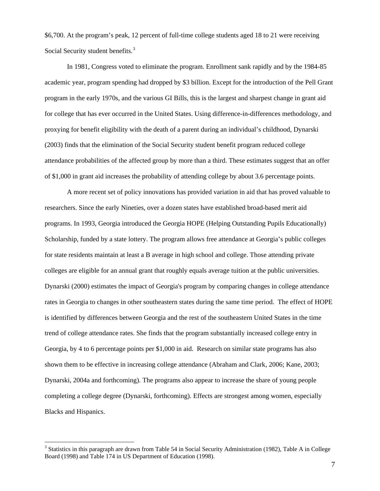\$6,700. At the program's peak, 12 percent of full-time college students aged 18 to 21 were receiving Social Security student benefits.<sup>[3](#page-7-0)</sup>

In 1981, Congress voted to eliminate the program. Enrollment sank rapidly and by the 1984-85 academic year, program spending had dropped by \$3 billion. Except for the introduction of the Pell Grant program in the early 1970s, and the various GI Bills, this is the largest and sharpest change in grant aid for college that has ever occurred in the United States. Using difference-in-differences methodology, and proxying for benefit eligibility with the death of a parent during an individual's childhood, Dynarski (2003) finds that the elimination of the Social Security student benefit program reduced college attendance probabilities of the affected group by more than a third. These estimates suggest that an offer of \$1,000 in grant aid increases the probability of attending college by about 3.6 percentage points.

A more recent set of policy innovations has provided variation in aid that has proved valuable to researchers. Since the early Nineties, over a dozen states have established broad-based merit aid programs. In 1993, Georgia introduced the Georgia HOPE (Helping Outstanding Pupils Educationally) Scholarship, funded by a state lottery. The program allows free attendance at Georgia's public colleges for state residents maintain at least a B average in high school and college. Those attending private colleges are eligible for an annual grant that roughly equals average tuition at the public universities. Dynarski (2000) estimates the impact of Georgia's program by comparing changes in college attendance rates in Georgia to changes in other southeastern states during the same time period. The effect of HOPE is identified by differences between Georgia and the rest of the southeastern United States in the time trend of college attendance rates. She finds that the program substantially increased college entry in Georgia, by 4 to 6 percentage points per \$1,000 in aid. Research on similar state programs has also shown them to be effective in increasing college attendance (Abraham and Clark, 2006; Kane, 2003; Dynarski, 2004a and forthcoming). The programs also appear to increase the share of young people completing a college degree (Dynarski, forthcoming). Effects are strongest among women, especially Blacks and Hispanics.

<span id="page-7-0"></span><sup>&</sup>lt;sup>3</sup> Statistics in this paragraph are drawn from Table 54 in Social Security Administration (1982), Table A in College Board (1998) and Table 174 in US Department of Education (1998).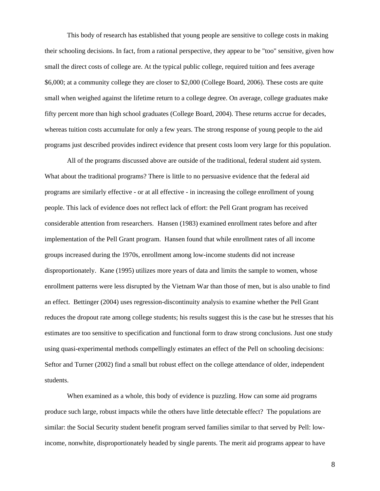This body of research has established that young people are sensitive to college costs in making their schooling decisions. In fact, from a rational perspective, they appear to be "too" sensitive, given how small the direct costs of college are. At the typical public college, required tuition and fees average \$6,000; at a community college they are closer to \$2,000 (College Board, 2006). These costs are quite small when weighed against the lifetime return to a college degree. On average, college graduates make fifty percent more than high school graduates (College Board, 2004). These returns accrue for decades, whereas tuition costs accumulate for only a few years. The strong response of young people to the aid programs just described provides indirect evidence that present costs loom very large for this population.

All of the programs discussed above are outside of the traditional, federal student aid system. What about the traditional programs? There is little to no persuasive evidence that the federal aid programs are similarly effective - or at all effective - in increasing the college enrollment of young people. This lack of evidence does not reflect lack of effort: the Pell Grant program has received considerable attention from researchers. Hansen (1983) examined enrollment rates before and after implementation of the Pell Grant program. Hansen found that while enrollment rates of all income groups increased during the 1970s, enrollment among low-income students did not increase disproportionately. Kane (1995) utilizes more years of data and limits the sample to women, whose enrollment patterns were less disrupted by the Vietnam War than those of men, but is also unable to find an effect. Bettinger (2004) uses regression-discontinuity analysis to examine whether the Pell Grant reduces the dropout rate among college students; his results suggest this is the case but he stresses that his estimates are too sensitive to specification and functional form to draw strong conclusions. Just one study using quasi-experimental methods compellingly estimates an effect of the Pell on schooling decisions: Seftor and Turner (2002) find a small but robust effect on the college attendance of older, independent students.

When examined as a whole, this body of evidence is puzzling. How can some aid programs produce such large, robust impacts while the others have little detectable effect? The populations are similar: the Social Security student benefit program served families similar to that served by Pell: lowincome, nonwhite, disproportionately headed by single parents. The merit aid programs appear to have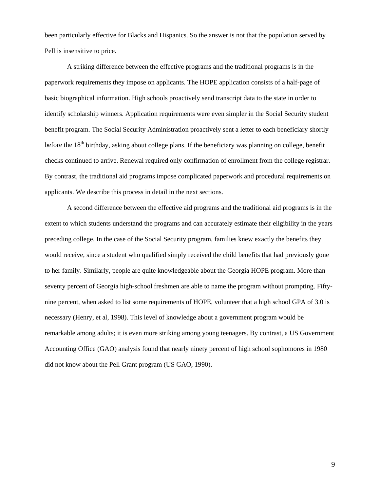been particularly effective for Blacks and Hispanics. So the answer is not that the population served by Pell is insensitive to price.

A striking difference between the effective programs and the traditional programs is in the paperwork requirements they impose on applicants. The HOPE application consists of a half-page of basic biographical information. High schools proactively send transcript data to the state in order to identify scholarship winners. Application requirements were even simpler in the Social Security student benefit program. The Social Security Administration proactively sent a letter to each beneficiary shortly before the  $18<sup>th</sup>$  birthday, asking about college plans. If the beneficiary was planning on college, benefit checks continued to arrive. Renewal required only confirmation of enrollment from the college registrar. By contrast, the traditional aid programs impose complicated paperwork and procedural requirements on applicants. We describe this process in detail in the next sections.

A second difference between the effective aid programs and the traditional aid programs is in the extent to which students understand the programs and can accurately estimate their eligibility in the years preceding college. In the case of the Social Security program, families knew exactly the benefits they would receive, since a student who qualified simply received the child benefits that had previously gone to her family. Similarly, people are quite knowledgeable about the Georgia HOPE program. More than seventy percent of Georgia high-school freshmen are able to name the program without prompting. Fiftynine percent, when asked to list some requirements of HOPE, volunteer that a high school GPA of 3.0 is necessary (Henry, et al, 1998). This level of knowledge about a government program would be remarkable among adults; it is even more striking among young teenagers. By contrast, a US Government Accounting Office (GAO) analysis found that nearly ninety percent of high school sophomores in 1980 did not know about the Pell Grant program (US GAO, 1990).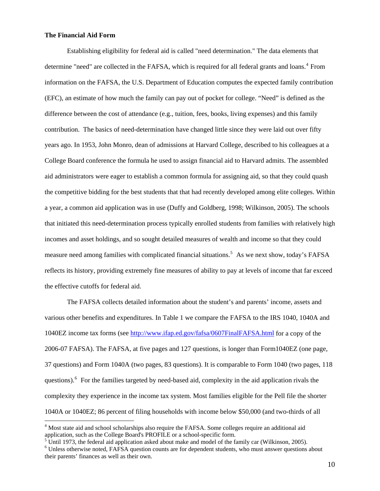### **The Financial Aid Form**

 $\overline{a}$ 

Establishing eligibility for federal aid is called "need determination." The data elements that determine "need" are collected in the FAFSA, which is required for all federal grants and loans.<sup>[4](#page-10-0)</sup> From information on the FAFSA, the U.S. Department of Education computes the expected family contribution (EFC), an estimate of how much the family can pay out of pocket for college. "Need" is defined as the difference between the cost of attendance (e.g., tuition, fees, books, living expenses) and this family contribution. The basics of need-determination have changed little since they were laid out over fifty years ago. In 1953, John Monro, dean of admissions at Harvard College, described to his colleagues at a College Board conference the formula he used to assign financial aid to Harvard admits. The assembled aid administrators were eager to establish a common formula for assigning aid, so that they could quash the competitive bidding for the best students that that had recently developed among elite colleges. Within a year, a common aid application was in use (Duffy and Goldberg, 1998; Wilkinson, 2005). The schools that initiated this need-determination process typically enrolled students from families with relatively high incomes and asset holdings, and so sought detailed measures of wealth and income so that they could measure need among families with complicated financial situations.<sup>[5](#page-10-1)</sup> As we next show, today's FAFSA reflects its history, providing extremely fine measures of ability to pay at levels of income that far exceed the effective cutoffs for federal aid.

The FAFSA collects detailed information about the student's and parents' income, assets and various other benefits and expenditures. In Table 1 we compare the FAFSA to the IRS 1040, 1040A and 1040EZ income tax forms (see<http://www.ifap.ed.gov/fafsa/0607FinalFAFSA.html>for a copy of the 2006-07 FAFSA). The FAFSA, at five pages and 127 questions, is longer than Form1040EZ (one page, 37 questions) and Form 1040A (two pages, 83 questions). It is comparable to Form 1040 (two pages, 118 questions). <sup>[6](#page-10-2)</sup> For the families targeted by need-based aid, complexity in the aid application rivals the complexity they experience in the income tax system. Most families eligible for the Pell file the shorter 1040A or 1040EZ; 86 percent of filing households with income below \$50,000 (and two-thirds of all

<span id="page-10-0"></span><sup>&</sup>lt;sup>4</sup> Most state aid and school scholarships also require the FAFSA. Some colleges require an additional aid application, such as the College Board's PROFILE or a school-specific form.

<span id="page-10-2"></span><span id="page-10-1"></span>Until 1973, the federal aid application asked about make and model of the family car (Wilkinson, 2005). <sup>6</sup> Unless otherwise noted, FAFSA question counts are for dependent students, who must answer questions about their parents' finances as well as their own.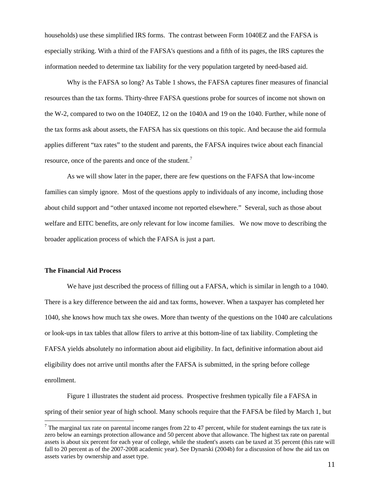households) use these simplified IRS forms. The contrast between Form 1040EZ and the FAFSA is especially striking. With a third of the FAFSA's questions and a fifth of its pages, the IRS captures the information needed to determine tax liability for the very population targeted by need-based aid.

Why is the FAFSA so long? As Table 1 shows, the FAFSA captures finer measures of financial resources than the tax forms. Thirty-three FAFSA questions probe for sources of income not shown on the W-2, compared to two on the 1040EZ, 12 on the 1040A and 19 on the 1040. Further, while none of the tax forms ask about assets, the FAFSA has six questions on this topic. And because the aid formula applies different "tax rates" to the student and parents, the FAFSA inquires twice about each financial resource, once of the parents and once of the student.<sup>[7](#page-11-0)</sup>

As we will show later in the paper, there are few questions on the FAFSA that low-income families can simply ignore. Most of the questions apply to individuals of any income, including those about child support and "other untaxed income not reported elsewhere." Several, such as those about welfare and EITC benefits, are *only* relevant for low income families. We now move to describing the broader application process of which the FAFSA is just a part.

#### **The Financial Aid Process**

 $\overline{a}$ 

We have just described the process of filling out a FAFSA, which is similar in length to a 1040. There is a key difference between the aid and tax forms, however. When a taxpayer has completed her 1040, she knows how much tax she owes. More than twenty of the questions on the 1040 are calculations or look-ups in tax tables that allow filers to arrive at this bottom-line of tax liability. Completing the FAFSA yields absolutely no information about aid eligibility. In fact, definitive information about aid eligibility does not arrive until months after the FAFSA is submitted, in the spring before college enrollment.

Figure 1 illustrates the student aid process. Prospective freshmen typically file a FAFSA in spring of their senior year of high school. Many schools require that the FAFSA be filed by March 1, but

<span id="page-11-0"></span><sup>&</sup>lt;sup>7</sup> The marginal tax rate on parental income ranges from 22 to 47 percent, while for student earnings the tax rate is zero below an earnings protection allowance and 50 percent above that allowance. The highest tax rate on parental assets is about six percent for each year of college, while the student's assets can be taxed at 35 percent (this rate will fall to 20 percent as of the 2007-2008 academic year). See Dynarski (2004b) for a discussion of how the aid tax on assets varies by ownership and asset type.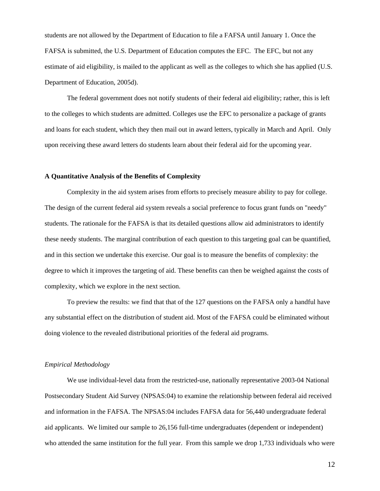students are not allowed by the Department of Education to file a FAFSA until January 1. Once the FAFSA is submitted, the U.S. Department of Education computes the EFC. The EFC, but not any estimate of aid eligibility, is mailed to the applicant as well as the colleges to which she has applied (U.S. Department of Education, 2005d).

The federal government does not notify students of their federal aid eligibility; rather, this is left to the colleges to which students are admitted. Colleges use the EFC to personalize a package of grants and loans for each student, which they then mail out in award letters, typically in March and April. Only upon receiving these award letters do students learn about their federal aid for the upcoming year.

#### **A Quantitative Analysis of the Benefits of Complexity**

Complexity in the aid system arises from efforts to precisely measure ability to pay for college. The design of the current federal aid system reveals a social preference to focus grant funds on "needy" students. The rationale for the FAFSA is that its detailed questions allow aid administrators to identify these needy students. The marginal contribution of each question to this targeting goal can be quantified, and in this section we undertake this exercise. Our goal is to measure the benefits of complexity: the degree to which it improves the targeting of aid. These benefits can then be weighed against the costs of complexity, which we explore in the next section.

To preview the results: we find that that of the 127 questions on the FAFSA only a handful have any substantial effect on the distribution of student aid. Most of the FAFSA could be eliminated without doing violence to the revealed distributional priorities of the federal aid programs.

#### *Empirical Methodology*

We use individual-level data from the restricted-use, nationally representative 2003-04 National Postsecondary Student Aid Survey (NPSAS:04) to examine the relationship between federal aid received and information in the FAFSA. The NPSAS:04 includes FAFSA data for 56,440 undergraduate federal aid applicants. We limited our sample to 26,156 full-time undergraduates (dependent or independent) who attended the same institution for the full year. From this sample we drop 1,733 individuals who were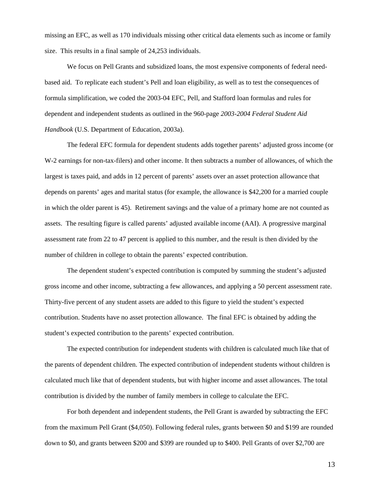missing an EFC, as well as 170 individuals missing other critical data elements such as income or family size. This results in a final sample of 24,253 individuals.

We focus on Pell Grants and subsidized loans, the most expensive components of federal needbased aid. To replicate each student's Pell and loan eligibility, as well as to test the consequences of formula simplification, we coded the 2003-04 EFC, Pell, and Stafford loan formulas and rules for dependent and independent students as outlined in the 960-page *2003-2004 Federal Student Aid Handbook* (U.S. Department of Education, 2003a).

The federal EFC formula for dependent students adds together parents' adjusted gross income (or W-2 earnings for non-tax-filers) and other income. It then subtracts a number of allowances, of which the largest is taxes paid, and adds in 12 percent of parents' assets over an asset protection allowance that depends on parents' ages and marital status (for example, the allowance is \$42,200 for a married couple in which the older parent is 45). Retirement savings and the value of a primary home are not counted as assets. The resulting figure is called parents' adjusted available income (AAI). A progressive marginal assessment rate from 22 to 47 percent is applied to this number, and the result is then divided by the number of children in college to obtain the parents' expected contribution.

The dependent student's expected contribution is computed by summing the student's adjusted gross income and other income, subtracting a few allowances, and applying a 50 percent assessment rate. Thirty-five percent of any student assets are added to this figure to yield the student's expected contribution. Students have no asset protection allowance. The final EFC is obtained by adding the student's expected contribution to the parents' expected contribution.

The expected contribution for independent students with children is calculated much like that of the parents of dependent children. The expected contribution of independent students without children is calculated much like that of dependent students, but with higher income and asset allowances. The total contribution is divided by the number of family members in college to calculate the EFC.

For both dependent and independent students, the Pell Grant is awarded by subtracting the EFC from the maximum Pell Grant (\$4,050). Following federal rules, grants between \$0 and \$199 are rounded down to \$0, and grants between \$200 and \$399 are rounded up to \$400. Pell Grants of over \$2,700 are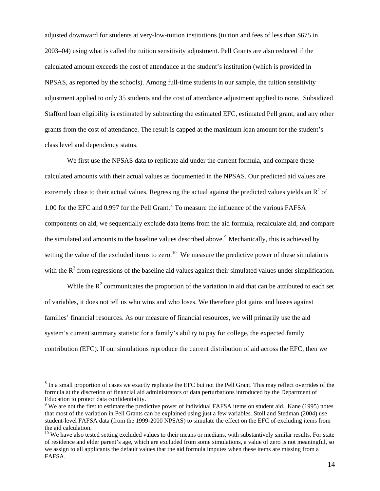adjusted downward for students at very-low-tuition institutions (tuition and fees of less than \$675 in 2003–04) using what is called the tuition sensitivity adjustment. Pell Grants are also reduced if the calculated amount exceeds the cost of attendance at the student's institution (which is provided in NPSAS, as reported by the schools). Among full-time students in our sample, the tuition sensitivity adjustment applied to only 35 students and the cost of attendance adjustment applied to none. Subsidized Stafford loan eligibility is estimated by subtracting the estimated EFC, estimated Pell grant, and any other grants from the cost of attendance. The result is capped at the maximum loan amount for the student's class level and dependency status.

We first use the NPSAS data to replicate aid under the current formula, and compare these calculated amounts with their actual values as documented in the NPSAS. Our predicted aid values are extremely close to their actual values. Regressing the actual against the predicted values yields an  $R^2$  of 1.00 for the EFC and 0.997 for the Pell Grant.<sup>[8](#page-14-0)</sup> To measure the influence of the various FAFSA components on aid, we sequentially exclude data items from the aid formula, recalculate aid, and compare the simulated aid amounts to the baseline values described above.<sup>[9](#page-14-1)</sup> Mechanically, this is achieved by setting the value of the excluded items to zero.<sup>[10](#page-14-2)</sup> We measure the predictive power of these simulations with the  $R<sup>2</sup>$  from regressions of the baseline aid values against their simulated values under simplification.

While the  $R<sup>2</sup>$  communicates the proportion of the variation in aid that can be attributed to each set of variables, it does not tell us who wins and who loses. We therefore plot gains and losses against families' financial resources. As our measure of financial resources, we will primarily use the aid system's current summary statistic for a family's ability to pay for college, the expected family contribution (EFC). If our simulations reproduce the current distribution of aid across the EFC, then we

 $\overline{a}$ 

<span id="page-14-0"></span> $8$  In a small proportion of cases we exactly replicate the EFC but not the Pell Grant. This may reflect overrides of the formula at the discretion of financial aid administrators or data perturbations introduced by the Department of Education to protect data confidentiality.

<span id="page-14-1"></span><sup>&</sup>lt;sup>9</sup> We are not the first to estimate the predictive power of individual FAFSA items on student aid. Kane (1995) notes that most of the variation in Pell Grants can be explained using just a few variables. Stoll and Stedman (2004) use student-level FAFSA data (from the 1999-2000 NPSAS) to simulate the effect on the EFC of excluding items from the aid calculation.

<span id="page-14-2"></span><sup>&</sup>lt;sup>10</sup> We have also tested setting excluded values to their means or medians, with substantively similar results. For state of residence and elder parent's age, which are excluded from some simulations, a value of zero is not meaningful, so we assign to all applicants the default values that the aid formula imputes when these items are missing from a FAFSA.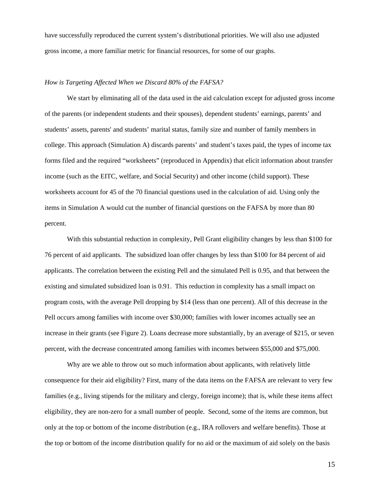have successfully reproduced the current system's distributional priorities. We will also use adjusted gross income, a more familiar metric for financial resources, for some of our graphs.

## *How is Targeting Affected When we Discard 80% of the FAFSA?*

We start by eliminating all of the data used in the aid calculation except for adjusted gross income of the parents (or independent students and their spouses), dependent students' earnings, parents' and students' assets, parents' and students' marital status, family size and number of family members in college. This approach (Simulation A) discards parents' and student's taxes paid, the types of income tax forms filed and the required "worksheets" (reproduced in Appendix) that elicit information about transfer income (such as the EITC, welfare, and Social Security) and other income (child support). These worksheets account for 45 of the 70 financial questions used in the calculation of aid. Using only the items in Simulation A would cut the number of financial questions on the FAFSA by more than 80 percent.

With this substantial reduction in complexity, Pell Grant eligibility changes by less than \$100 for 76 percent of aid applicants. The subsidized loan offer changes by less than \$100 for 84 percent of aid applicants. The correlation between the existing Pell and the simulated Pell is 0.95, and that between the existing and simulated subsidized loan is 0.91. This reduction in complexity has a small impact on program costs, with the average Pell dropping by \$14 (less than one percent). All of this decrease in the Pell occurs among families with income over \$30,000; families with lower incomes actually see an increase in their grants (see Figure 2). Loans decrease more substantially, by an average of \$215, or seven percent, with the decrease concentrated among families with incomes between \$55,000 and \$75,000.

Why are we able to throw out so much information about applicants, with relatively little consequence for their aid eligibility? First, many of the data items on the FAFSA are relevant to very few families (e.g., living stipends for the military and clergy, foreign income); that is, while these items affect eligibility, they are non-zero for a small number of people. Second, some of the items are common, but only at the top or bottom of the income distribution (e.g., IRA rollovers and welfare benefits). Those at the top or bottom of the income distribution qualify for no aid or the maximum of aid solely on the basis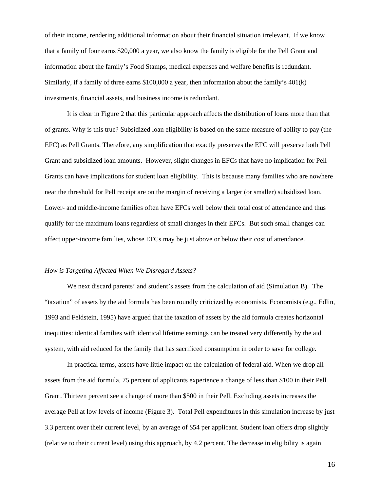of their income, rendering additional information about their financial situation irrelevant. If we know that a family of four earns \$20,000 a year, we also know the family is eligible for the Pell Grant and information about the family's Food Stamps, medical expenses and welfare benefits is redundant. Similarly, if a family of three earns \$100,000 a year, then information about the family's 401(k) investments, financial assets, and business income is redundant.

It is clear in Figure 2 that this particular approach affects the distribution of loans more than that of grants. Why is this true? Subsidized loan eligibility is based on the same measure of ability to pay (the EFC) as Pell Grants. Therefore, any simplification that exactly preserves the EFC will preserve both Pell Grant and subsidized loan amounts. However, slight changes in EFCs that have no implication for Pell Grants can have implications for student loan eligibility. This is because many families who are nowhere near the threshold for Pell receipt are on the margin of receiving a larger (or smaller) subsidized loan. Lower- and middle-income families often have EFCs well below their total cost of attendance and thus qualify for the maximum loans regardless of small changes in their EFCs. But such small changes can affect upper-income families, whose EFCs may be just above or below their cost of attendance.

#### *How is Targeting Affected When We Disregard Assets?*

We next discard parents' and student's assets from the calculation of aid (Simulation B). The "taxation" of assets by the aid formula has been roundly criticized by economists. Economists (e.g., Edlin, 1993 and Feldstein, 1995) have argued that the taxation of assets by the aid formula creates horizontal inequities: identical families with identical lifetime earnings can be treated very differently by the aid system, with aid reduced for the family that has sacrificed consumption in order to save for college.

In practical terms, assets have little impact on the calculation of federal aid. When we drop all assets from the aid formula, 75 percent of applicants experience a change of less than \$100 in their Pell Grant. Thirteen percent see a change of more than \$500 in their Pell. Excluding assets increases the average Pell at low levels of income (Figure 3). Total Pell expenditures in this simulation increase by just 3.3 percent over their current level, by an average of \$54 per applicant. Student loan offers drop slightly (relative to their current level) using this approach, by 4.2 percent. The decrease in eligibility is again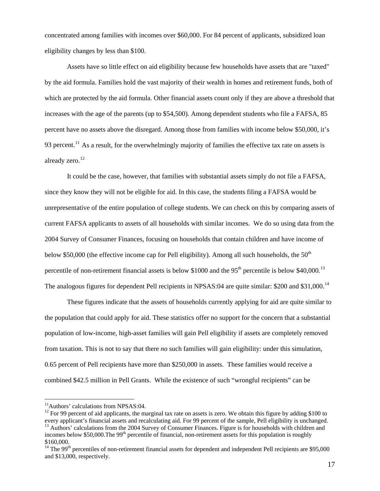concentrated among families with incomes over \$60,000. For 84 percent of applicants, subsidized loan eligibility changes by less than \$100.

Assets have so little effect on aid eligibility because few households have assets that are "taxed" by the aid formula. Families hold the vast majority of their wealth in homes and retirement funds, both of which are protected by the aid formula. Other financial assets count only if they are above a threshold that increases with the age of the parents (up to \$54,500). Among dependent students who file a FAFSA, 85 percent have no assets above the disregard. Among those from families with income below \$50,000, it's 93 percent.<sup>[11](#page-17-0)</sup> As a result, for the overwhelmingly majority of families the effective tax rate on assets is already zero.<sup>[12](#page-17-1)</sup>

It could be the case, however, that families with substantial assets simply do not file a FAFSA, since they know they will not be eligible for aid. In this case, the students filing a FAFSA would be unrepresentative of the entire population of college students. We can check on this by comparing assets of current FAFSA applicants to assets of all households with similar incomes. We do so using data from the 2004 Survey of Consumer Finances, focusing on households that contain children and have income of below \$50,000 (the effective income cap for Pell eligibility). Among all such households, the  $50<sup>th</sup>$ percentile of non-retirement financial assets is below \$1000 and the  $95<sup>th</sup>$  percentile is below \$40,000.<sup>[13](#page-17-2)</sup> The analogous figures for dependent Pell recipients in NPSAS:04 are quite similar: \$200 and \$31,000.<sup>[14](#page-17-3)</sup>

These figures indicate that the assets of households currently applying for aid are quite similar to the population that could apply for aid. These statistics offer no support for the concern that a substantial population of low-income, high-asset families will gain Pell eligibility if assets are completely removed from taxation. This is not to say that there *no* such families will gain eligibility: under this simulation, 0.65 percent of Pell recipients have more than \$250,000 in assets. These families would receive a combined \$42.5 million in Pell Grants. While the existence of such "wrongful recipients" can be

 $\overline{a}$ 

<span id="page-17-0"></span><sup>&</sup>lt;sup>11</sup>Authors' calculations from NPSAS:04.

<span id="page-17-2"></span><span id="page-17-1"></span> $12$  For 99 percent of aid applicants, the marginal tax rate on assets is zero. We obtain this figure by adding \$100 to every applicant's financial assets and recalculating aid. For 99 percent of the sample, Pell eligibility is unchanged.<br><sup>13</sup> Authors' calculations from the 2004 Survey of Consumer Finances. Figure is for households with chi incomes below \$50,000. The 99<sup>th</sup> percentile of financial, non-retirement assets for this population is roughly \$160,000.

<span id="page-17-3"></span> $14$  The 99<sup>th</sup> percentiles of non-retirement financial assets for dependent and independent Pell recipients are \$95,000 and \$13,000, respectively.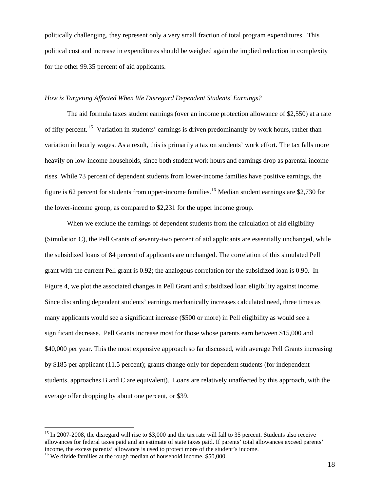politically challenging, they represent only a very small fraction of total program expenditures. This political cost and increase in expenditures should be weighed again the implied reduction in complexity for the other 99.35 percent of aid applicants.

#### *How is Targeting Affected When We Disregard Dependent Students' Earnings?*

the lower-income group, as compared to \$2,231 for the upper income group. The aid formula taxes student earnings (over an income protection allowance of \$2,550) at a rate of fifty percent. [15](#page-18-0) Variation in students' earnings is driven predominantly by work hours, rather than variation in hourly wages. As a result, this is primarily a tax on students' work effort. The tax falls more heavily on low-income households, since both student work hours and earnings drop as parental income rises. While 73 percent of dependent students from lower-income families have positive earnings, the figure is 62 percent for students from upper-income families.<sup>[16](#page-18-1)</sup> Median student earnings are \$2,730 for

When we exclude the earnings of dependent students from the calculation of aid eligibility (Simulation C), the Pell Grants of seventy-two percent of aid applicants are essentially unchanged, while the subsidized loans of 84 percent of applicants are unchanged. The correlation of this simulated Pell grant with the current Pell grant is 0.92; the analogous correlation for the subsidized loan is 0.90. In Figure 4, we plot the associated changes in Pell Grant and subsidized loan eligibility against income. Since discarding dependent students' earnings mechanically increases calculated need, three times as many applicants would see a significant increase (\$500 or more) in Pell eligibility as would see a significant decrease. Pell Grants increase most for those whose parents earn between \$15,000 and \$40,000 per year. This the most expensive approach so far discussed, with average Pell Grants increasing by \$185 per applicant (11.5 percent); grants change only for dependent students (for independent students, approaches B and C are equivalent). Loans are relatively unaffected by this approach, with the average offer dropping by about one percent, or \$39.

 $\overline{a}$ 

<span id="page-18-0"></span><sup>&</sup>lt;sup>15</sup> In 2007-2008, the disregard will rise to \$3,000 and the tax rate will fall to 35 percent. Students also receive allowances for federal taxes paid and an estimate of state taxes paid. If parents' total allowances exceed parents' income, the excess parents' allowance is used to protect more of the student's income. 16 We divide families at the rough median of household income, \$50,000.

<span id="page-18-1"></span>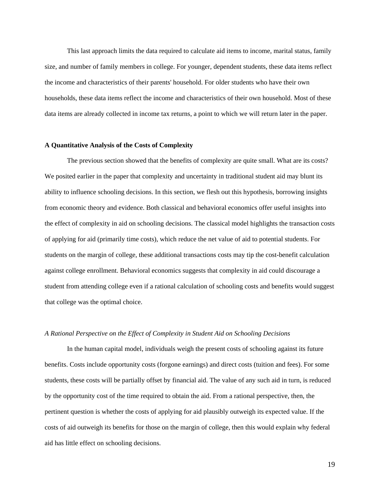This last approach limits the data required to calculate aid items to income, marital status, family size, and number of family members in college. For younger, dependent students, these data items reflect the income and characteristics of their parents' household. For older students who have their own households, these data items reflect the income and characteristics of their own household. Most of these data items are already collected in income tax returns, a point to which we will return later in the paper.

#### **A Quantitative Analysis of the Costs of Complexity**

The previous section showed that the benefits of complexity are quite small. What are its costs? We posited earlier in the paper that complexity and uncertainty in traditional student aid may blunt its ability to influence schooling decisions. In this section, we flesh out this hypothesis, borrowing insights from economic theory and evidence. Both classical and behavioral economics offer useful insights into the effect of complexity in aid on schooling decisions. The classical model highlights the transaction costs of applying for aid (primarily time costs), which reduce the net value of aid to potential students. For students on the margin of college, these additional transactions costs may tip the cost-benefit calculation against college enrollment. Behavioral economics suggests that complexity in aid could discourage a student from attending college even if a rational calculation of schooling costs and benefits would suggest that college was the optimal choice.

#### *A Rational Perspective on the Effect of Complexity in Student Aid on Schooling Decisions*

In the human capital model, individuals weigh the present costs of schooling against its future benefits. Costs include opportunity costs (forgone earnings) and direct costs (tuition and fees). For some students, these costs will be partially offset by financial aid. The value of any such aid in turn, is reduced by the opportunity cost of the time required to obtain the aid. From a rational perspective, then, the pertinent question is whether the costs of applying for aid plausibly outweigh its expected value. If the costs of aid outweigh its benefits for those on the margin of college, then this would explain why federal aid has little effect on schooling decisions.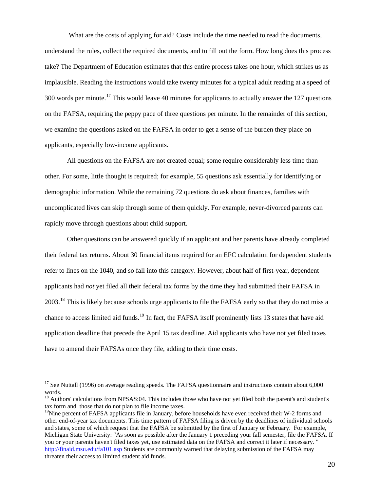What are the costs of applying for aid? Costs include the time needed to read the documents, understand the rules, collect the required documents, and to fill out the form. How long does this process take? The Department of Education estimates that this entire process takes one hour, which strikes us as implausible. Reading the instructions would take twenty minutes for a typical adult reading at a speed of 300 words per minute.<sup>[17](#page-20-0)</sup> This would leave 40 minutes for applicants to actually answer the 127 questions on the FAFSA, requiring the peppy pace of three questions per minute. In the remainder of this section, we examine the questions asked on the FAFSA in order to get a sense of the burden they place on applicants, especially low-income applicants.

All questions on the FAFSA are not created equal; some require considerably less time than other. For some, little thought is required; for example, 55 questions ask essentially for identifying or demographic information. While the remaining 72 questions do ask about finances, families with uncomplicated lives can skip through some of them quickly. For example, never-divorced parents can rapidly move through questions about child support.

Other questions can be answered quickly if an applicant and her parents have already completed their federal tax returns. About 30 financial items required for an EFC calculation for dependent students refer to lines on the 1040, and so fall into this category. However, about half of first-year, dependent applicants had *not* yet filed all their federal tax forms by the time they had submitted their FAFSA in 2003.<sup>[18](#page-20-1)</sup> This is likely because schools urge applicants to file the FAFSA early so that they do not miss a chance to access limited aid funds.<sup>[19](#page-20-2)</sup> In fact, the FAFSA itself prominently lists 13 states that have aid application deadline that precede the April 15 tax deadline. Aid applicants who have not yet filed taxes have to amend their FAFSAs once they file, adding to their time costs.

 $\overline{a}$ 

<span id="page-20-0"></span><sup>&</sup>lt;sup>17</sup> See Nuttall (1996) on average reading speeds. The FAFSA questionnaire and instructions contain about 6,000 words.

<span id="page-20-1"></span><sup>&</sup>lt;sup>18</sup> Authors' calculations from NPSAS:04. This includes those who have not yet filed both the parent's and student's tax form and those that do not plan to file income taxes.

<span id="page-20-2"></span><sup>&</sup>lt;sup>19</sup>Nine percent of FAFSA applicants file in January, before households have even received their W-2 forms and other end-of-year tax documents. This time pattern of FAFSA filing is driven by the deadlines of individual schools and states, some of which request that the FAFSA be submitted by the first of January or February. For example, Michigan State University: "As soon as possible after the January 1 preceding your fall semester, file the FAFSA. If you or your parents haven't filed taxes yet, use estimated data on the FAFSA and correct it later if necessary. " <http://finaid.msu.edu/fa101.asp>Students are commonly warned that delaying submission of the FAFSA may threaten their access to limited student aid funds.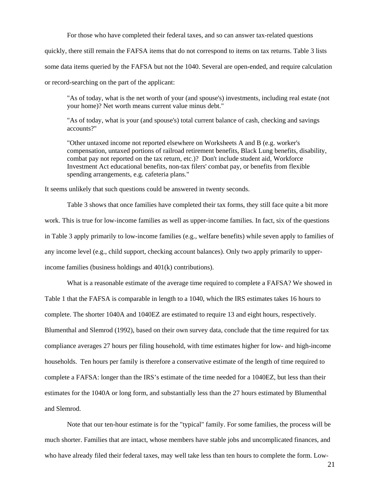For those who have completed their federal taxes, and so can answer tax-related questions

quickly, there still remain the FAFSA items that do not correspond to items on tax returns. Table 3 lists some data items queried by the FAFSA but not the 1040. Several are open-ended, and require calculation or record-searching on the part of the applicant:

"As of today, what is the net worth of your (and spouse's) investments, including real estate (not your home)? Net worth means current value minus debt."

"As of today, what is your (and spouse's) total current balance of cash, checking and savings accounts?"

"Other untaxed income not reported elsewhere on Worksheets A and B (e.g. worker's compensation, untaxed portions of railroad retirement benefits, Black Lung benefits, disability, combat pay not reported on the tax return, etc.)? Don't include student aid, Workforce Investment Act educational benefits, non-tax filers' combat pay, or benefits from flexible spending arrangements, e.g. cafeteria plans."

It seems unlikely that such questions could be answered in twenty seconds.

Table 3 shows that once families have completed their tax forms, they still face quite a bit more work. This is true for low-income families as well as upper-income families. In fact, six of the questions in Table 3 apply primarily to low-income families (e.g., welfare benefits) while seven apply to families of any income level (e.g., child support, checking account balances). Only two apply primarily to upperincome families (business holdings and 401(k) contributions).

What is a reasonable estimate of the average time required to complete a FAFSA? We showed in Table 1 that the FAFSA is comparable in length to a 1040, which the IRS estimates takes 16 hours to complete. The shorter 1040A and 1040EZ are estimated to require 13 and eight hours, respectively. Blumenthal and Slemrod (1992), based on their own survey data, conclude that the time required for tax compliance averages 27 hours per filing household, with time estimates higher for low- and high-income households. Ten hours per family is therefore a conservative estimate of the length of time required to complete a FAFSA: longer than the IRS's estimate of the time needed for a 1040EZ, but less than their estimates for the 1040A or long form, and substantially less than the 27 hours estimated by Blumenthal and Slemrod.

Note that our ten-hour estimate is for the "typical" family. For some families, the process will be much shorter. Families that are intact, whose members have stable jobs and uncomplicated finances, and who have already filed their federal taxes, may well take less than ten hours to complete the form. Low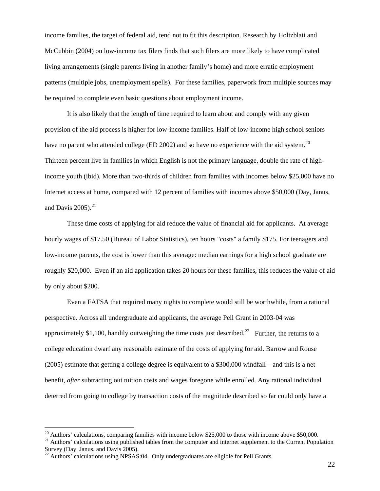income families, the target of federal aid, tend not to fit this description. Research by Holtzblatt and McCubbin (2004) on low-income tax filers finds that such filers are more likely to have complicated living arrangements (single parents living in another family's home) and more erratic employment patterns (multiple jobs, unemployment spells). For these families, paperwork from multiple sources may be required to complete even basic questions about employment income.

income youth (ibid). More than two-thirds of children from families with incomes below \$25,000 have no It is also likely that the length of time required to learn about and comply with any given provision of the aid process is higher for low-income families. Half of low-income high school seniors have no parent who attended college (ED [20](#page-22-0)02) and so have no experience with the aid system.<sup>20</sup> Thirteen percent live in families in which English is not the primary language, double the rate of high-Internet access at home, compared with 12 percent of families with incomes above \$50,000 (Day, Janus, and Davis  $2005$ ).<sup>[21](#page-22-1)</sup>

These time costs of applying for aid reduce the value of financial aid for applicants. At average hourly wages of \$17.50 (Bureau of Labor Statistics), ten hours "costs" a family \$175. For teenagers and low-income parents, the cost is lower than this average: median earnings for a high school graduate are roughly \$20,000. Even if an aid application takes 20 hours for these families, this reduces the value of aid by only about \$200.

Even a FAFSA that required many nights to complete would still be worthwhile, from a rational perspective. Across all undergraduate aid applicants, the average Pell Grant in 2003-04 was approximately \$1,100, handily outweighing the time costs just described.<sup>[22](#page-22-2)</sup> Further, the returns to a college education dwarf any reasonable estimate of the costs of applying for aid. Barrow and Rouse (2005) estimate that getting a college degree is equivalent to a \$300,000 windfall—and this is a net benefit, *after* subtracting out tuition costs and wages foregone while enrolled. Any rational individual deterred from going to college by transaction costs of the magnitude described so far could only have a

 $\overline{a}$ 

<span id="page-22-1"></span>

<span id="page-22-0"></span><sup>&</sup>lt;sup>20</sup> Authors' calculations, comparing families with income below \$25,000 to those with income above \$50,000. <sup>21</sup> Authors' calculations using published tables from the computer and internet supplement to the Current Popul Survey (Day, Janus, and Davis 2005).

<span id="page-22-2"></span> $^{22}$  Authors' calculations using NPSAS:04. Only undergraduates are eligible for Pell Grants.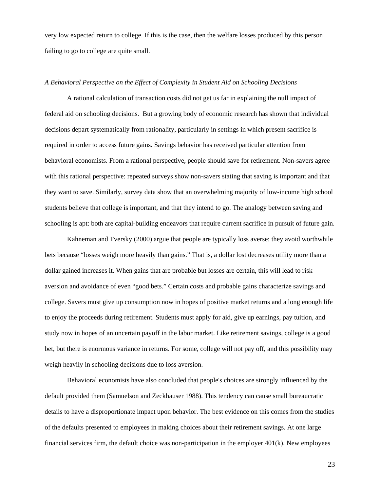very low expected return to college. If this is the case, then the welfare losses produced by this person failing to go to college are quite small.

### *A Behavioral Perspective on the Effect of Complexity in Student Aid on Schooling Decisions*

A rational calculation of transaction costs did not get us far in explaining the null impact of federal aid on schooling decisions. But a growing body of economic research has shown that individual decisions depart systematically from rationality, particularly in settings in which present sacrifice is required in order to access future gains. Savings behavior has received particular attention from behavioral economists. From a rational perspective, people should save for retirement. Non-savers agree with this rational perspective: repeated surveys show non-savers stating that saving is important and that they want to save. Similarly, survey data show that an overwhelming majority of low-income high school students believe that college is important, and that they intend to go. The analogy between saving and schooling is apt: both are capital-building endeavors that require current sacrifice in pursuit of future gain.

Kahneman and Tversky (2000) argue that people are typically loss averse: they avoid worthwhile bets because "losses weigh more heavily than gains." That is, a dollar lost decreases utility more than a dollar gained increases it. When gains that are probable but losses are certain, this will lead to risk aversion and avoidance of even "good bets." Certain costs and probable gains characterize savings and college. Savers must give up consumption now in hopes of positive market returns and a long enough life to enjoy the proceeds during retirement. Students must apply for aid, give up earnings, pay tuition, and study now in hopes of an uncertain payoff in the labor market. Like retirement savings, college is a good bet, but there is enormous variance in returns. For some, college will not pay off, and this possibility may weigh heavily in schooling decisions due to loss aversion.

Behavioral economists have also concluded that people's choices are strongly influenced by the default provided them (Samuelson and Zeckhauser 1988). This tendency can cause small bureaucratic details to have a disproportionate impact upon behavior. The best evidence on this comes from the studies of the defaults presented to employees in making choices about their retirement savings. At one large financial services firm, the default choice was non-participation in the employer 401(k). New employees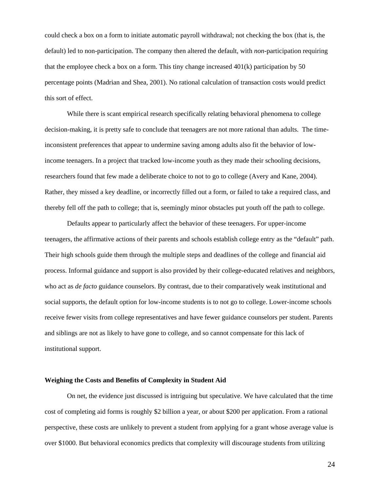could check a box on a form to initiate automatic payroll withdrawal; not checking the box (that is, the default) led to non-participation. The company then altered the default, with *non*-participation requiring that the employee check a box on a form. This tiny change increased  $401(k)$  participation by 50 percentage points (Madrian and Shea, 2001). No rational calculation of transaction costs would predict this sort of effect.

While there is scant empirical research specifically relating behavioral phenomena to college decision-making, it is pretty safe to conclude that teenagers are not more rational than adults. The timeinconsistent preferences that appear to undermine saving among adults also fit the behavior of lowincome teenagers. In a project that tracked low-income youth as they made their schooling decisions, researchers found that few made a deliberate choice to not to go to college (Avery and Kane, 2004). Rather, they missed a key deadline, or incorrectly filled out a form, or failed to take a required class, and thereby fell off the path to college; that is, seemingly minor obstacles put youth off the path to college.

Defaults appear to particularly affect the behavior of these teenagers. For upper-income teenagers, the affirmative actions of their parents and schools establish college entry as the "default" path. Their high schools guide them through the multiple steps and deadlines of the college and financial aid process. Informal guidance and support is also provided by their college-educated relatives and neighbors, who act as *de facto* guidance counselors. By contrast, due to their comparatively weak institutional and social supports, the default option for low-income students is to not go to college. Lower-income schools receive fewer visits from college representatives and have fewer guidance counselors per student. Parents and siblings are not as likely to have gone to college, and so cannot compensate for this lack of institutional support.

#### **Weighing the Costs and Benefits of Complexity in Student Aid**

On net, the evidence just discussed is intriguing but speculative. We have calculated that the time cost of completing aid forms is roughly \$2 billion a year, or about \$200 per application. From a rational perspective, these costs are unlikely to prevent a student from applying for a grant whose average value is over \$1000. But behavioral economics predicts that complexity will discourage students from utilizing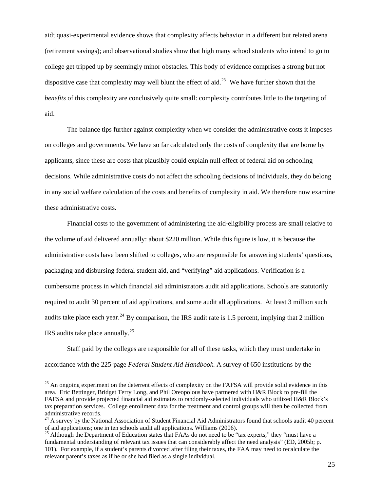aid; quasi-experimental evidence shows that complexity affects behavior in a different but related arena (retirement savings); and observational studies show that high many school students who intend to go to college get tripped up by seemingly minor obstacles. This body of evidence comprises a strong but not dispositive case that complexity may well blunt the effect of aid.<sup>[23](#page-25-0)</sup> We have further shown that the *benefits* of this complexity are conclusively quite small: complexity contributes little to the targeting of aid.

The balance tips further against complexity when we consider the administrative costs it imposes on colleges and governments. We have so far calculated only the costs of complexity that are borne by applicants, since these are costs that plausibly could explain null effect of federal aid on schooling decisions. While administrative costs do not affect the schooling decisions of individuals, they do belong in any social welfare calculation of the costs and benefits of complexity in aid. We therefore now examine these administrative costs.

Financial costs to the government of administering the aid-eligibility process are small relative to the volume of aid delivered annually: about \$220 million. While this figure is low, it is because the administrative costs have been shifted to colleges, who are responsible for answering students' questions, packaging and disbursing federal student aid, and "verifying" aid applications. Verification is a cumbersome process in which financial aid administrators audit aid applications. Schools are statutorily required to audit 30 percent of aid applications, and some audit all applications. At least 3 million such audits take place each year.<sup>[24](#page-25-1)</sup> By comparison, the IRS audit rate is 1.5 percent, implying that 2 million IRS audits take place annually.[25](#page-25-2)

Staff paid by the colleges are responsible for all of these tasks, which they must undertake in accordance with the 225-page *Federal Student Aid Handbook*. A survey of 650 institutions by the

 $\overline{a}$ 

<span id="page-25-0"></span> $^{23}$  An ongoing experiment on the deterrent effects of complexity on the FAFSA will provide solid evidence in this area. Eric Bettinger, Bridget Terry Long, and Phil Oreopolous have partnered with H&R Block to pre-fill the FAFSA and provide projected financial aid estimates to randomly-selected individuals who utilized H&R Block's tax preparation services. College enrollment data for the treatment and control groups will then be collected from administrative records.

<span id="page-25-1"></span> $24$  A survey by the National Association of Student Financial Aid Administrators found that schools audit 40 percent of aid applications; one in ten schools audit all applications. Williams (2006).

<span id="page-25-2"></span><sup>&</sup>lt;sup>25</sup> Although the Department of Education states that FAAs do not need to be "tax experts," they "must have a fundamental understanding of relevant tax issues that can considerably affect the need analysis" (ED, 2005b; p. 101). For example, if a student's parents divorced after filing their taxes, the FAA may need to recalculate the relevant parent's taxes as if he or she had filed as a single individual.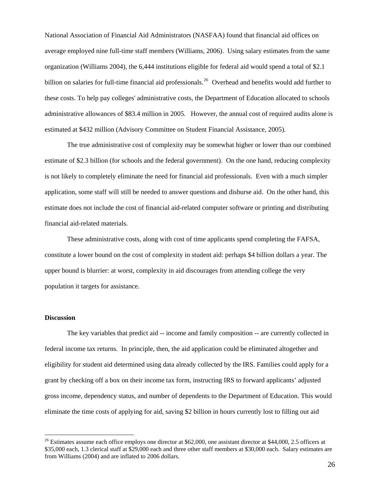National Association of Financial Aid Administrators (NASFAA) found that financial aid offices on average employed nine full-time staff members (Williams, 2006). Using salary estimates from the same organization (Williams 2004), the 6,444 institutions eligible for federal aid would spend a total of \$2.1 billion on salaries for full-time financial aid professionals.<sup>[26](#page-26-0)</sup> Overhead and benefits would add further to these costs. To help pay colleges' administrative costs, the Department of Education allocated to schools administrative allowances of \$83.4 million in 2005. However, the annual cost of required audits alone is estimated at \$432 million (Advisory Committee on Student Financial Assistance, 2005).

The true administrative cost of complexity may be somewhat higher or lower than our combined estimate of \$2.3 billion (for schools and the federal government). On the one hand, reducing complexity is not likely to completely eliminate the need for financial aid professionals. Even with a much simpler application, some staff will still be needed to answer questions and disburse aid. On the other hand, this estimate does not include the cost of financial aid-related computer software or printing and distributing financial aid-related materials.

These administrative costs, along with cost of time applicants spend completing the FAFSA, constitute a lower bound on the cost of complexity in student aid: perhaps \$4 billion dollars a year. The upper bound is blurrier: at worst, complexity in aid discourages from attending college the very population it targets for assistance.

#### **Discussion**

 $\overline{a}$ 

The key variables that predict aid -- income and family composition -- are currently collected in federal income tax returns. In principle, then, the aid application could be eliminated altogether and eligibility for student aid determined using data already collected by the IRS. Families could apply for a grant by checking off a box on their income tax form, instructing IRS to forward applicants' adjusted gross income, dependency status, and number of dependents to the Department of Education. This would eliminate the time costs of applying for aid, saving \$2 billion in hours currently lost to filling out aid

<span id="page-26-0"></span> $26$  Estimates assume each office employs one director at \$62,000, one assistant director at \$44,000, 2.5 officers at \$35,000 each, 1.3 clerical staff at \$29,000 each and three other staff members at \$30,000 each. Salary estimates are from Williams (2004) and are inflated to 2006 dollars.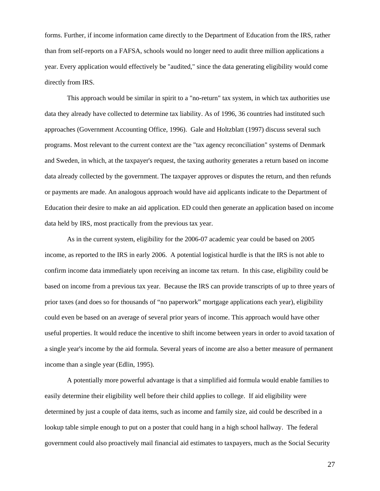forms. Further, if income information came directly to the Department of Education from the IRS, rather than from self-reports on a FAFSA, schools would no longer need to audit three million applications a year. Every application would effectively be "audited," since the data generating eligibility would come directly from IRS.

This approach would be similar in spirit to a "no-return" tax system, in which tax authorities use data they already have collected to determine tax liability. As of 1996, 36 countries had instituted such approaches (Government Accounting Office, 1996). Gale and Holtzblatt (1997) discuss several such programs. Most relevant to the current context are the "tax agency reconciliation" systems of Denmark and Sweden, in which, at the taxpayer's request, the taxing authority generates a return based on income data already collected by the government. The taxpayer approves or disputes the return, and then refunds or payments are made. An analogous approach would have aid applicants indicate to the Department of Education their desire to make an aid application. ED could then generate an application based on income data held by IRS, most practically from the previous tax year.

As in the current system, eligibility for the 2006-07 academic year could be based on 2005 income, as reported to the IRS in early 2006. A potential logistical hurdle is that the IRS is not able to confirm income data immediately upon receiving an income tax return. In this case, eligibility could be based on income from a previous tax year. Because the IRS can provide transcripts of up to three years of prior taxes (and does so for thousands of "no paperwork" mortgage applications each year), eligibility could even be based on an average of several prior years of income. This approach would have other useful properties. It would reduce the incentive to shift income between years in order to avoid taxation of a single year's income by the aid formula. Several years of income are also a better measure of permanent income than a single year (Edlin, 1995).

A potentially more powerful advantage is that a simplified aid formula would enable families to easily determine their eligibility well before their child applies to college. If aid eligibility were determined by just a couple of data items, such as income and family size, aid could be described in a lookup table simple enough to put on a poster that could hang in a high school hallway. The federal government could also proactively mail financial aid estimates to taxpayers, much as the Social Security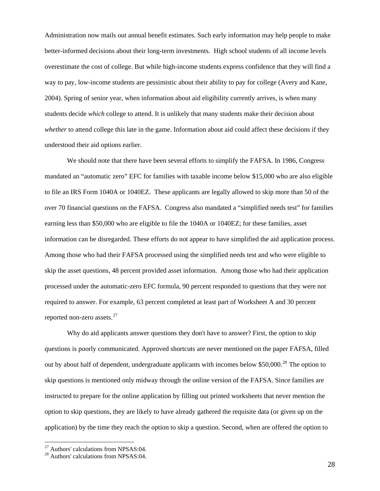Administration now mails out annual benefit estimates. Such early information may help people to make better-informed decisions about their long-term investments. High school students of all income levels overestimate the cost of college. But while high-income students express confidence that they will find a way to pay, low-income students are pessimistic about their ability to pay for college (Avery and Kane, 2004). Spring of senior year, when information about aid eligibility currently arrives, is when many students decide *which* college to attend. It is unlikely that many students make their decision about *whether* to attend college this late in the game. Information about aid could affect these decisions if they understood their aid options earlier.

We should note that there have been several efforts to simplify the FAFSA. In 1986, Congress mandated an "automatic zero" EFC for families with taxable income below \$15,000 who are also eligible to file an IRS Form 1040A or 1040EZ. These applicants are legally allowed to skip more than 50 of the over 70 financial questions on the FAFSA. Congress also mandated a "simplified needs test" for families earning less than \$50,000 who are eligible to file the 1040A or 1040EZ; for these families, asset information can be disregarded. These efforts do not appear to have simplified the aid application process. Among those who had their FAFSA processed using the simplified needs test and who were eligible to skip the asset questions, 48 percent provided asset information. Among those who had their application processed under the automatic-zero EFC formula, 90 percent responded to questions that they were not required to answer. For example, 63 percent completed at least part of Worksheet A and 30 percent reported non-zero assets.<sup>[27](#page-28-0)</sup>

Why do aid applicants answer questions they don't have to answer? First, the option to skip questions is poorly communicated. Approved shortcuts are never mentioned on the paper FAFSA, filled out by about half of dependent, undergraduate applicants with incomes below \$50,000.<sup>[28](#page-28-1)</sup> The option to skip questions is mentioned only midway through the online version of the FAFSA. Since families are instructed to prepare for the online application by filling out printed worksheets that never mention the option to skip questions, they are likely to have already gathered the requisite data (or given up on the application) by the time they reach the option to skip a question. Second, when are offered the option to

 $\overline{a}$ 

 $27$  Authors' calculations from NPSAS:04.

<span id="page-28-1"></span><span id="page-28-0"></span><sup>&</sup>lt;sup>28</sup> Authors' calculations from NPSAS:04.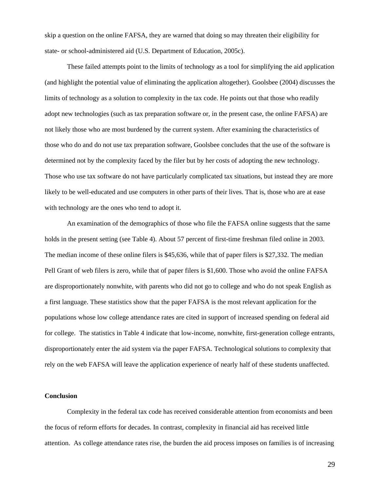skip a question on the online FAFSA, they are warned that doing so may threaten their eligibility for state- or school-administered aid (U.S. Department of Education, 2005c).

These failed attempts point to the limits of technology as a tool for simplifying the aid application (and highlight the potential value of eliminating the application altogether). Goolsbee (2004) discusses the limits of technology as a solution to complexity in the tax code. He points out that those who readily adopt new technologies (such as tax preparation software or, in the present case, the online FAFSA) are not likely those who are most burdened by the current system. After examining the characteristics of those who do and do not use tax preparation software, Goolsbee concludes that the use of the software is determined not by the complexity faced by the filer but by her costs of adopting the new technology. Those who use tax software do not have particularly complicated tax situations, but instead they are more likely to be well-educated and use computers in other parts of their lives. That is, those who are at ease with technology are the ones who tend to adopt it.

An examination of the demographics of those who file the FAFSA online suggests that the same holds in the present setting (see Table 4). About 57 percent of first-time freshman filed online in 2003. The median income of these online filers is \$45,636, while that of paper filers is \$27,332. The median Pell Grant of web filers is zero, while that of paper filers is \$1,600. Those who avoid the online FAFSA are disproportionately nonwhite, with parents who did not go to college and who do not speak English as a first language. These statistics show that the paper FAFSA is the most relevant application for the populations whose low college attendance rates are cited in support of increased spending on federal aid for college. The statistics in Table 4 indicate that low-income, nonwhite, first-generation college entrants, disproportionately enter the aid system via the paper FAFSA. Technological solutions to complexity that rely on the web FAFSA will leave the application experience of nearly half of these students unaffected.

#### **Conclusion**

Complexity in the federal tax code has received considerable attention from economists and been the focus of reform efforts for decades. In contrast, complexity in financial aid has received little attention. As college attendance rates rise, the burden the aid process imposes on families is of increasing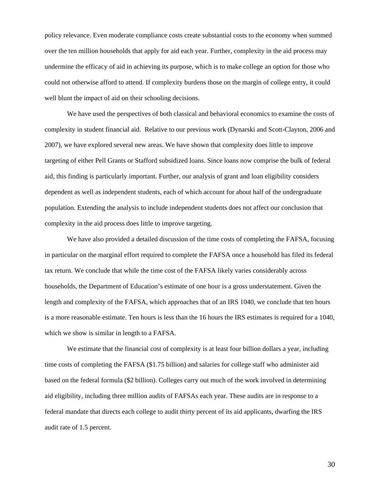policy relevance. Even moderate compliance costs create substantial costs to the economy when summed over the ten million households that apply for aid each year. Further, complexity in the aid process may undermine the efficacy of aid in achieving its purpose, which is to make college an option for those who could not otherwise afford to attend. If complexity burdens those on the margin of college entry, it could well blunt the impact of aid on their schooling decisions.

We have used the perspectives of both classical and behavioral economics to examine the costs of complexity in student financial aid. Relative to our previous work (Dynarski and Scott-Clayton, 2006 and 2007), we have explored several new areas. We have shown that complexity does little to improve targeting of either Pell Grants or Stafford subsidized loans. Since loans now comprise the bulk of federal aid, this finding is particularly important. Further, our analysis of grant and loan eligibility considers dependent as well as independent students, each of which account for about half of the undergraduate population. Extending the analysis to include independent students does not affect our conclusion that complexity in the aid process does little to improve targeting.

We have also provided a detailed discussion of the time costs of completing the FAFSA, focusing in particular on the marginal effort required to complete the FAFSA once a household has filed its federal tax return. We conclude that while the time cost of the FAFSA likely varies considerably across households, the Department of Education's estimate of one hour is a gross understatement. Given the length and complexity of the FAFSA, which approaches that of an IRS 1040, we conclude that ten hours is a more reasonable estimate. Ten hours is less than the 16 hours the IRS estimates is required for a 1040, which we show is similar in length to a FAFSA.

We estimate that the financial cost of complexity is at least four billion dollars a year, including time costs of completing the FAFSA (\$1.75 billion) and salaries for college staff who administer aid based on the federal formula (\$2 billion). Colleges carry out much of the work involved in determining aid eligibility, including three million audits of FAFSAs each year. These audits are in response to a federal mandate that directs each college to audit thirty percent of its aid applicants, dwarfing the IRS audit rate of 1.5 percent.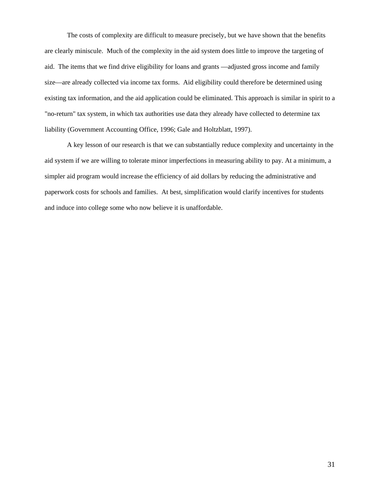The costs of complexity are difficult to measure precisely, but we have shown that the benefits are clearly miniscule. Much of the complexity in the aid system does little to improve the targeting of aid. The items that we find drive eligibility for loans and grants —adjusted gross income and family size—are already collected via income tax forms. Aid eligibility could therefore be determined using existing tax information, and the aid application could be eliminated. This approach is similar in spirit to a "no-return" tax system, in which tax authorities use data they already have collected to determine tax liability (Government Accounting Office, 1996; Gale and Holtzblatt, 1997).

A key lesson of our research is that we can substantially reduce complexity and uncertainty in the aid system if we are willing to tolerate minor imperfections in measuring ability to pay. At a minimum, a simpler aid program would increase the efficiency of aid dollars by reducing the administrative and paperwork costs for schools and families. At best, simplification would clarify incentives for students and induce into college some who now believe it is unaffordable.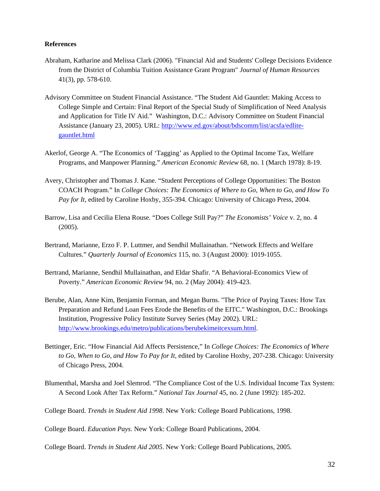#### **References**

- Abraham, Katharine and Melissa Clark (2006). "Financial Aid and Students' College Decisions Evidence from the District of Columbia Tuition Assistance Grant Program" *Journal of Human Resources* 41(3), pp. 578-610.
- Advisory Committee on Student Financial Assistance. "The Student Aid Gauntlet: Making Access to College Simple and Certain: Final Report of the Special Study of Simplification of Need Analysis and Application for Title IV Aid." Washington, D.C.: Advisory Committee on Student Financial Assistance (January 23, 2005). URL: [http://www.ed.gov/about/bdscomm/list/acsfa/edlite](http://www.ed.gov/about/bdscomm/list/acsfa/edlite-gauntlet.html)[gauntlet.html](http://www.ed.gov/about/bdscomm/list/acsfa/edlite-gauntlet.html)
- Akerlof, George A. "The Economics of 'Tagging' as Applied to the Optimal Income Tax, Welfare Programs, and Manpower Planning." *American Economic Review* 68, no. 1 (March 1978): 8-19.
- Avery, Christopher and Thomas J. Kane. "Student Perceptions of College Opportunities: The Boston COACH Program." In *College Choices: The Economics of Where to Go, When to Go, and How To Pay for It*, edited by Caroline Hoxby, 355-394. Chicago: University of Chicago Press, 2004.
- Barrow, Lisa and Cecilia Elena Rouse. "Does College Still Pay?" *The Economists' Voice* v. 2, no. 4 (2005).
- Bertrand, Marianne, Erzo F. P. Luttmer, and Sendhil Mullainathan. "Network Effects and Welfare Cultures." *Quarterly Journal of Economics* 115, no. 3 (August 2000): 1019-1055.
- Bertrand, Marianne, Sendhil Mullainathan, and Eldar Shafir. "A Behavioral-Economics View of Poverty." *American Economic Review* 94, no. 2 (May 2004): 419-423.
- Berube, Alan, Anne Kim, Benjamin Forman, and Megan Burns. "The Price of Paying Taxes: How Tax Preparation and Refund Loan Fees Erode the Benefits of the EITC." Washington, D.C.: Brookings Institution, Progressive Policy Institute Survey Series (May 2002). URL: <http://www.brookings.edu/metro/publications/berubekimeitcexsum.html>.
- Bettinger, Eric. "How Financial Aid Affects Persistence," In *College Choices: The Economics of Where to Go, When to Go, and How To Pay for It*, edited by Caroline Hoxby, 207-238. Chicago: University of Chicago Press, 2004.
- Blumenthal, Marsha and Joel Slemrod. "The Compliance Cost of the U.S. Individual Income Tax System: A Second Look After Tax Reform." *National Tax Journal* 45, no. 2 (June 1992): 185-202.

College Board. *Education Pays*. New York: College Board Publications, 2004.

College Board. *Trends in Student Aid 2005*. New York: College Board Publications, 2005.

College Board. *Trends in Student Aid 1998*. New York: College Board Publications, 1998.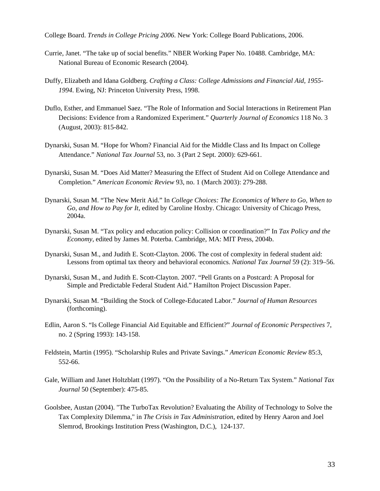College Board. *Trends in College Pricing 2006*. New York: College Board Publications, 2006.

- Currie, Janet. "The take up of social benefits." NBER Working Paper No. 10488. Cambridge, MA: National Bureau of Economic Research (2004).
- Duffy, Elizabeth and Idana Goldberg. *Crafting a Class: College Admissions and Financial Aid, 1955- 1994*. Ewing, NJ: Princeton University Press, 1998.
- Duflo, Esther, and Emmanuel Saez. "The Role of Information and Social Interactions in Retirement Plan Decisions: Evidence from a Randomized Experiment." *Quarterly Journal of Economics* 118 No. 3 (August, 2003): 815-842.
- Dynarski, Susan M. "Hope for Whom? Financial Aid for the Middle Class and Its Impact on College Attendance." *National Tax Journal* 53, no. 3 (Part 2 Sept. 2000): 629-661.
- Dynarski, Susan M. "Does Aid Matter? Measuring the Effect of Student Aid on College Attendance and Completion." *American Economic Review* 93, no. 1 (March 2003): 279-288.
- Dynarski, Susan M. "The New Merit Aid." In *College Choices: The Economics of Where to Go, When to Go, and How to Pay for It*, edited by Caroline Hoxby. Chicago: University of Chicago Press, 2004a.
- Dynarski, Susan M. "Tax policy and education policy: Collision or coordination?" In *Tax Policy and the Economy,* edited by James M. Poterba. Cambridge, MA: MIT Press, 2004b.
- Dynarski, Susan M., and Judith E. Scott-Clayton. 2006. The cost of complexity in federal student aid: Lessons from optimal tax theory and behavioral economics. *National Tax Journal* 59 (2): 319–56.
- Dynarski, Susan M., and Judith E. Scott-Clayton. 2007. "Pell Grants on a Postcard: A Proposal for Simple and Predictable Federal Student Aid." Hamilton Project Discussion Paper.
- Dynarski, Susan M. "Building the Stock of College-Educated Labor." *Journal of Human Resources* (forthcoming).
- Edlin, Aaron S. "Is College Financial Aid Equitable and Efficient?" *Journal of Economic Perspectives* 7, no. 2 (Spring 1993): 143-158.
- Feldstein, Martin (1995). "Scholarship Rules and Private Savings." *American Economic Review* 85:3, 552-66.
- Gale, William and Janet Holtzblatt (1997). "On the Possibility of a No-Return Tax System." *National Tax Journal* 50 (September): 475-85.
- Goolsbee, Austan (2004). "The TurboTax Revolution? Evaluating the Ability of Technology to Solve the Tax Complexity Dilemma," in *The Crisis in Tax Administration*, edited by Henry Aaron and Joel Slemrod, Brookings Institution Press (Washington, D.C.), 124-137.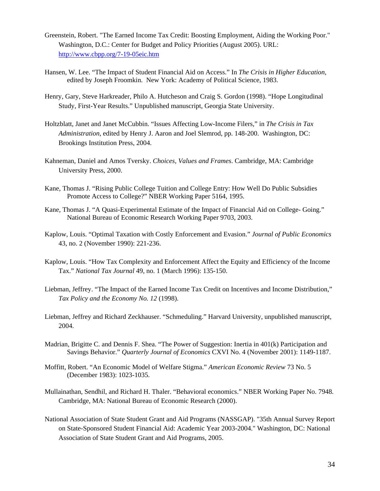- Greenstein, Robert. "The Earned Income Tax Credit: Boosting Employment, Aiding the Working Poor." Washington, D.C.: Center for Budget and Policy Priorities (August 2005). URL: <http://www.cbpp.org/7-19-05eic.htm>
- Hansen, W. Lee. "The Impact of Student Financial Aid on Access." In *The Crisis in Higher Education,*  edited by Joseph Froomkin. New York: Academy of Political Science, 1983.
- Henry, Gary, Steve Harkreader, Philo A. Hutcheson and Craig S. Gordon (1998). "Hope Longitudinal Study, First-Year Results." Unpublished manuscript, Georgia State University.
- Holtzblatt, Janet and Janet McCubbin. "Issues Affecting Low-Income Filers," in *The Crisis in Tax Administration*, edited by Henry J. Aaron and Joel Slemrod, pp. 148-200. Washington, DC: Brookings Institution Press, 2004.
- Kahneman, Daniel and Amos Tversky. *Choices, Values and Frames*. Cambridge, MA: Cambridge University Press, 2000.
- Kane, Thomas J. "Rising Public College Tuition and College Entry: How Well Do Public Subsidies Promote Access to College?" NBER Working Paper 5164, 1995.
- Kane, Thomas J. "A Quasi-Experimental Estimate of the Impact of Financial Aid on College- Going." National Bureau of Economic Research Working Paper 9703, 2003.
- Kaplow, Louis. "Optimal Taxation with Costly Enforcement and Evasion." *Journal of Public Economics*  43, no. 2 (November 1990): 221-236.
- Kaplow, Louis. "How Tax Complexity and Enforcement Affect the Equity and Efficiency of the Income Tax." *National Tax Journal* 49, no. 1 (March 1996): 135-150.
- Liebman, Jeffrey. "The Impact of the Earned Income Tax Credit on Incentives and Income Distribution," *Tax Policy and the Economy No. 12* (1998).
- Liebman, Jeffrey and Richard Zeckhauser. "Schmeduling." Harvard University, unpublished manuscript, 2004.
- Madrian, Brigitte C. and Dennis F. Shea. "The Power of Suggestion: Inertia in 401(k) Participation and Savings Behavior." *Quarterly Journal of Economics* CXVI No. 4 (November 2001): 1149-1187.
- Moffitt, Robert. "An Economic Model of Welfare Stigma." *American Economic Review* 73 No. 5 (December 1983): 1023-1035.
- Mullainathan, Sendhil, and Richard H. Thaler. "Behavioral economics." NBER Working Paper No. 7948. Cambridge, MA: National Bureau of Economic Research (2000).
- National Association of State Student Grant and Aid Programs (NASSGAP). "35th Annual Survey Report on State-Sponsored Student Financial Aid: Academic Year 2003-2004." Washington, DC: National Association of State Student Grant and Aid Programs, 2005.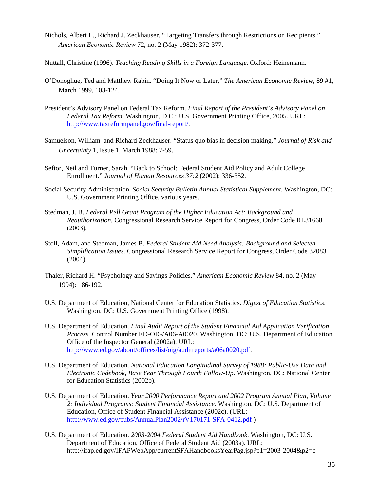- Nichols, Albert L., Richard J. Zeckhauser. "Targeting Transfers through Restrictions on Recipients." *American Economic Review* 72, no. 2 (May 1982): 372-377.
- Nuttall, Christine (1996). *Teaching Reading Skills in a Foreign Language*. Oxford: Heinemann.
- O'Donoghue, Ted and Matthew Rabin. "Doing It Now or Later," *The American Economic Review*, 89 #1, March 1999, 103-124.
- President's Advisory Panel on Federal Tax Reform. *Final Report of the President's Advisory Panel on Federal Tax Reform.* Washington, D.C.: U.S. Government Printing Office, 2005. URL: <http://www.taxreformpanel.gov/final-report/>.
- Samuelson, William and Richard Zeckhauser. "Status quo bias in decision making." *Journal of Risk and Uncertainty* 1, Issue 1, March 1988: 7-59.
- Seftor, Neil and Turner, Sarah. "Back to School: Federal Student Aid Policy and Adult College Enrollment." *Journal of Human Resources 37:2* (2002): 336-352.
- Social Security Administration. *Social Security Bulletin Annual Statistical Supplement*. Washington, DC: U.S. Government Printing Office, various years.
- Stedman, J. B. *Federal Pell Grant Program of the Higher Education Act: Background and Reauthorization.* Congressional Research Service Report for Congress, Order Code RL31668 (2003).
- Stoll, Adam, and Stedman, James B. *Federal Student Aid Need Analysis: Background and Selected Simplification Issues.* Congressional Research Service Report for Congress, Order Code 32083 (2004).
- Thaler, Richard H. "Psychology and Savings Policies." *American Economic Review* 84, no. 2 (May 1994): 186-192.
- U.S. Department of Education, National Center for Education Statistics. *Digest of Education Statistics*. Washington, DC: U.S. Government Printing Office (1998).
- U.S. Department of Education. *Final Audit Report of the Student Financial Aid Application Verification Process.* Control Number ED-OIG/A06-A0020. Washington, DC: U.S. Department of Education, Office of the Inspector General (2002a). URL: <http://www.ed.gov/about/offices/list/oig/auditreports/a06a0020.pdf>.
- U.S. Department of Education. *National Education Longitudinal Survey of 1988: Public-Use Data and Electronic Codebook, Base Year Through Fourth Follow-Up.* Washington, DC: National Center for Education Statistics (2002b).
- U.S. Department of Education. *Year 2000 Performance Report and 2002 Program Annual Plan, Volume 2: Individual Programs: Student Financial Assistance.* Washington, DC: U.S. Department of Education, Office of Student Financial Assistance (2002c). (URL: <http://www.ed.gov/pubs/AnnualPlan2002/rV170171-SFA-0412.pdf>)
- U.S. Department of Education. *2003-2004 Federal Student Aid Handbook*. Washington, DC: U.S. Department of Education, Office of Federal Student Aid (2003a). URL: http://ifap.ed.gov/IFAPWebApp/currentSFAHandbooksYearPag.jsp?p1=2003-2004&p2=c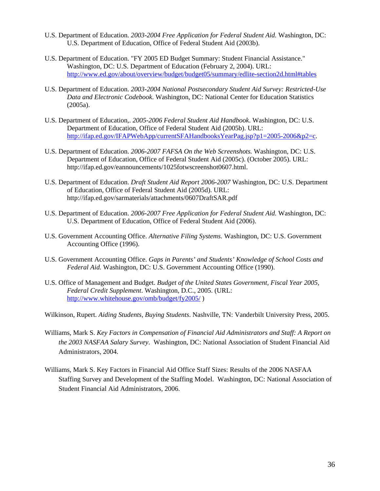- U.S. Department of Education. *2003-2004 Free Application for Federal Student Aid.* Washington, DC: U.S. Department of Education, Office of Federal Student Aid (2003b).
- U.S. Department of Education. "FY 2005 ED Budget Summary: Student Financial Assistance." Washington, DC: U.S. Department of Education (February 2, 2004). URL: <http://www.ed.gov/about/overview/budget/budget05/summary/edlite-section2d.html#tables>
- U.S. Department of Education. *2003-2004 National Postsecondary Student Aid Survey: Restricted-Use Data and Electronic Codebook*. Washington, DC: National Center for Education Statistics (2005a).
- U.S. Department of Education,. *2005-2006 Federal Student Aid Handbook*. Washington, DC: U.S. Department of Education, Office of Federal Student Aid (2005b). URL: [http://ifap.ed.gov/IFAPWebApp/currentSFAHandbooksYearPag.jsp?p1=2005-2006&p2=c.](http://ifap.ed.gov/IFAPWebApp/currentSFAHandbooksYearPag.jsp?p1=2005-2006&p2=c)
- U.S. Department of Education. *2006-2007 FAFSA On the Web Screenshots.* Washington, DC: U.S. Department of Education, Office of Federal Student Aid (2005c). (October 2005). URL: http://ifap.ed.gov/eannouncements/1025fotwscreenshot0607.html.
- U.S. Department of Education. *Draft Student Aid Report 2006-2007* Washington, DC: U.S. Department of Education, Office of Federal Student Aid (2005d). URL: http://ifap.ed.gov/sarmaterials/attachments/0607DraftSAR.pdf
- U.S. Department of Education. *2006-2007 Free Application for Federal Student Aid.* Washington, DC: U.S. Department of Education, Office of Federal Student Aid (2006).
- U.S. Government Accounting Office. *Alternative Filing Systems.* Washington, DC: U.S. Government Accounting Office (1996).
- U.S. Government Accounting Office. *Gaps in Parents' and Students' Knowledge of School Costs and Federal Aid.* Washington, DC: U.S. Government Accounting Office (1990).
- U.S. Office of Management and Budget. *Budget of the United States Government, Fiscal Year 2005, Federal Credit Supplement*. Washington, D.C., 2005. (URL: <http://www.whitehouse.gov/omb/budget/fy2005/> )
- Wilkinson, Rupert. *Aiding Students, Buying Students*. Nashville, TN: Vanderbilt University Press, 2005.
- Williams, Mark S. *Key Factors in Compensation of Financial Aid Administrators and Staff: A Report on the 2003 NASFAA Salary Survey*. Washington, DC: National Association of Student Financial Aid Administrators, 2004.
- Williams, Mark S. Key Factors in Financial Aid Office Staff Sizes: Results of the 2006 NASFAA Staffing Survey and Development of the Staffing Model. Washington, DC: National Association of Student Financial Aid Administrators, 2006.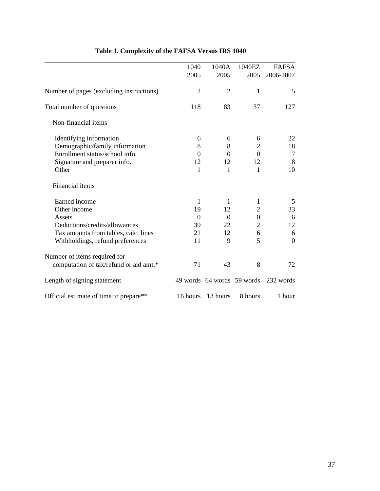|                                          | 1040           | 1040A          | 1040EZ           | <b>FAFSA</b>                         |
|------------------------------------------|----------------|----------------|------------------|--------------------------------------|
|                                          | 2005           | 2005           | 2005             | 2006-2007                            |
| Number of pages (excluding instructions) | $\overline{2}$ | $\overline{2}$ | 1                | 5                                    |
| Total number of questions                | 118            | 83             | 37               | 127                                  |
| Non-financial items                      |                |                |                  |                                      |
| Identifying information                  | 6              | 6              | 6                | 22                                   |
| Demographic/family information           | 8              | 8              | $\overline{2}$   | 18                                   |
| Enrollment status/school info.           | $\Omega$       | $\Omega$       | $\Omega$         | 7                                    |
| Signature and preparer info.             | 12             | 12             | 12               | 8                                    |
| Other                                    | 1              | 1              | 1                | 10                                   |
| <b>Financial</b> items                   |                |                |                  |                                      |
| Earned income                            | $\mathbf{1}$   | 1              | $\mathbf{1}$     | 5                                    |
| Other income                             | 19             | 12             | 2                | 33                                   |
| Assets                                   | $\Omega$       | $\Omega$       | $\boldsymbol{0}$ | 6                                    |
| Deductions/credits/allowances            | 39             | 22             | $\overline{2}$   | 12                                   |
| Tax amounts from tables, calc. lines     | 21             | 12             | 6                | 6                                    |
| Withholdings, refund preferences         | 11             | 9              | 5                | $\theta$                             |
| Number of items required for             |                |                |                  |                                      |
| computation of tax/refund or aid amt.*   | 71             | 43             | 8                | 72                                   |
| Length of signing statement              |                |                |                  | 49 words 64 words 59 words 232 words |
| Official estimate of time to prepare**   | 16 hours       | 13 hours       | 8 hours          | 1 hour                               |
|                                          |                |                |                  |                                      |

# **Table 1. Complexity of the FAFSA Versus IRS 1040**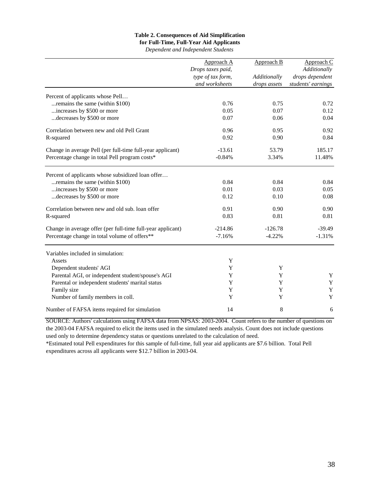## **Table 2. Consequences of Aid Simplification**

## **for Full-Time, Full-Year Aid Applicants**

*Dependent and Independent Students*

|                                                             | Approach A        | Approach B   | Approach C         |
|-------------------------------------------------------------|-------------------|--------------|--------------------|
|                                                             | Drops taxes paid, |              | Additionally       |
|                                                             | type of tax form, | Additionally | drops dependent    |
|                                                             | and worksheets    | drops assets | students' earnings |
| Percent of applicants whose Pell                            |                   |              |                    |
| remains the same (within \$100).                            | 0.76              | 0.75         | 0.72               |
| increases by \$500 or more                                  | 0.05              | 0.07         | 0.12               |
| decreases by \$500 or more                                  | 0.07              | 0.06         | 0.04               |
| Correlation between new and old Pell Grant                  | 0.96              | 0.95         | 0.92               |
| R-squared                                                   | 0.92              | 0.90         | 0.84               |
| Change in average Pell (per full-time full-year applicant)  | $-13.61$          | 53.79        | 185.17             |
| Percentage change in total Pell program costs*              | $-0.84%$          | 3.34%        | 11.48%             |
| Percent of applicants whose subsidized loan offer           |                   |              |                    |
| remains the same (within \$100).                            | 0.84              | 0.84         | 0.84               |
| increases by \$500 or more                                  | 0.01              | 0.03         | 0.05               |
| decreases by \$500 or more                                  | 0.12              | 0.10         | 0.08               |
|                                                             |                   |              |                    |
| Correlation between new and old sub. loan offer             | 0.91              | 0.90         | 0.90               |
| R-squared                                                   | 0.83              | 0.81         | 0.81               |
| Change in average offer (per full-time full-year applicant) | $-214.86$         | $-126.78$    | $-39.49$           |
| Percentage change in total volume of offers**               | $-7.16%$          | $-4.22%$     | $-1.31%$           |
| Variables included in simulation:                           |                   |              |                    |
| Assets                                                      | $\mathbf Y$       |              |                    |
| Dependent students' AGI                                     | Y                 | Y            |                    |
| Parental AGI, or independent student/spouse's AGI           | Y                 | Y            | Y                  |
| Parental or independent students' marital status            | $\mathbf Y$       | Y            | $\mathbf Y$        |
| Family size                                                 | Y                 | Y            | Y                  |
| Number of family members in coll.                           | Y                 | Y            | Y                  |
| Number of FAFSA items required for simulation               | 14                | 8            | 6                  |

SOURCE: Authors' calculations using FAFSA data from NPSAS: 2003-2004. Count refers to the number of questions on the 2003-04 FAFSA required to elicit the items used in the simulated needs analysis. Count does not include questions used only to determine dependency status or questions unrelated to the calculation of need.

\*Estimated total Pell expenditures for this sample of full-time, full year aid applicants are \$7.6 billion. Total Pell expenditures across all applicants were \$12.7 billion in 2003-04.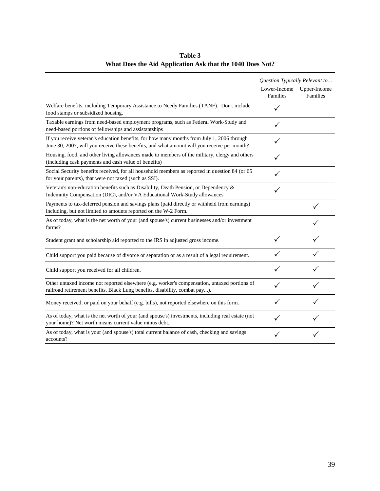|                                                                                                                                                                                           | Question Typically Relevant to |                          |
|-------------------------------------------------------------------------------------------------------------------------------------------------------------------------------------------|--------------------------------|--------------------------|
|                                                                                                                                                                                           | Lower-Income<br>Families       | Upper-Income<br>Families |
| Welfare benefits, including Temporary Assistance to Needy Families (TANF). Don't include<br>food stamps or subsidized housing.                                                            |                                |                          |
| Taxable earnings from need-based employment programs, such as Federal Work-Study and<br>need-based portions of fellowships and assistantships                                             | ✓                              |                          |
| If you receive veteran's education benefits, for how many months from July 1, 2006 through<br>June 30, 2007, will you receive these benefits, and what amount will you receive per month? | ✓                              |                          |
| Housing, food, and other living allowances made to members of the military, clergy and others<br>(including cash payments and cash value of benefits)                                     |                                |                          |
| Social Security benefits received, for all household members as reported in question 84 (or 65<br>for your parents), that were not taxed (such as SSI).                                   |                                |                          |
| Veteran's non-education benefits such as Disability, Death Pension, or Dependency $\&$<br>Indemnity Compensation (DIC), and/or VA Educational Work-Study allowances                       |                                |                          |
| Payments to tax-deferred pension and savings plans (paid directly or withheld from earnings)<br>including, but not limited to amounts reported on the W-2 Form.                           |                                |                          |
| As of today, what is the net worth of your (and spouse's) current businesses and/or investment<br>farms?                                                                                  |                                |                          |
| Student grant and scholarship aid reported to the IRS in adjusted gross income.                                                                                                           |                                |                          |
| Child support you paid because of divorce or separation or as a result of a legal requirement.                                                                                            | ✓                              |                          |
| Child support you received for all children.                                                                                                                                              |                                |                          |
| Other untaxed income not reported elsewhere (e.g. worker's compensation, untaxed portions of<br>railroad retirement benefits, Black Lung benefits, disability, combat pay).               |                                |                          |
| Money received, or paid on your behalf (e.g. bills), not reported elsewhere on this form.                                                                                                 | ✓                              |                          |
| As of today, what is the net worth of your (and spouse's) investments, including real estate (not<br>your home)? Net worth means current value minus debt.                                |                                |                          |
| As of today, what is your (and spouse's) total current balance of cash, checking and savings<br>accounts?                                                                                 |                                |                          |

# **Table 3 What Does the Aid Application Ask that the 1040 Does Not?**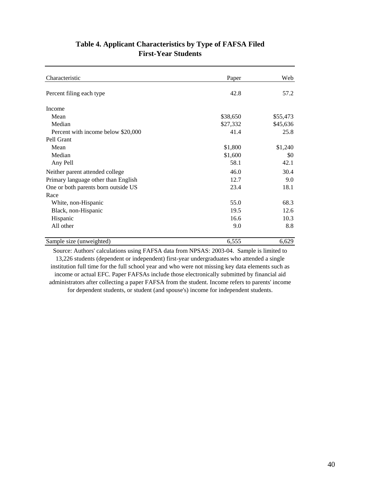| Table 4. Applicant Characteristics by Type of FAFSA Filed<br><b>First-Year Students</b> |  |  |  |
|-----------------------------------------------------------------------------------------|--|--|--|
|                                                                                         |  |  |  |
|                                                                                         |  |  |  |

| Characteristic                      | Paper    | Web      |  |
|-------------------------------------|----------|----------|--|
| Percent filing each type            | 42.8     |          |  |
| Income                              |          |          |  |
| Mean                                | \$38,650 | \$55,473 |  |
| Median                              | \$27,332 | \$45,636 |  |
| Percent with income below \$20,000  | 41.4     | 25.8     |  |
| Pell Grant                          |          |          |  |
| Mean                                | \$1,800  | \$1,240  |  |
| Median                              | \$1,600  | \$0      |  |
| Any Pell                            | 58.1     | 42.1     |  |
| Neither parent attended college     | 46.0     | 30.4     |  |
| Primary language other than English | 12.7     | 9.0      |  |
| One or both parents born outside US | 23.4     | 18.1     |  |
| Race                                |          |          |  |
| White, non-Hispanic                 | 55.0     | 68.3     |  |
| Black, non-Hispanic                 | 19.5     | 12.6     |  |
| Hispanic                            | 16.6     | 10.3     |  |
| All other                           | 9.0      | 8.8      |  |
| Sample size (unweighted)            | 6,555    | 6,629    |  |
|                                     |          |          |  |

Source: Authors' calculations using FAFSA data from NPSAS: 2003-04. Sample is limited to 13,226 students (dependent or independent) first-year undergraduates who attended a single institution full time for the full school year and who were not missing key data elements such as income or actual EFC. Paper FAFSAs include those electronically submitted by financial aid administrators after collecting a paper FAFSA from the student. Income refers to parents' income for dependent students, or student (and spouse's) income for independent students.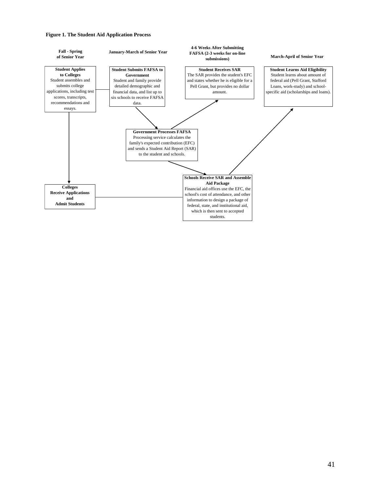#### **Figure 1. The Student Aid Application Process**

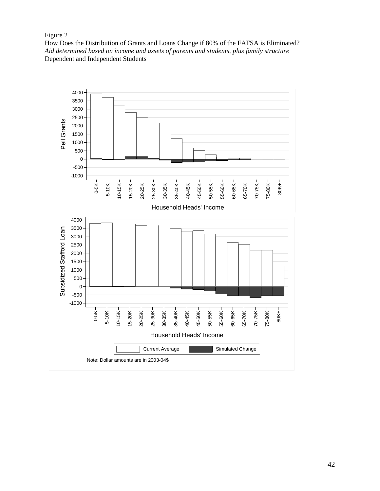# Figure 2

How Does the Distribution of Grants and Loans Change if 80% of the FAFSA is Eliminated? *Aid determined based on income and assets of parents and students, plus family structure*  Dependent and Independent Students

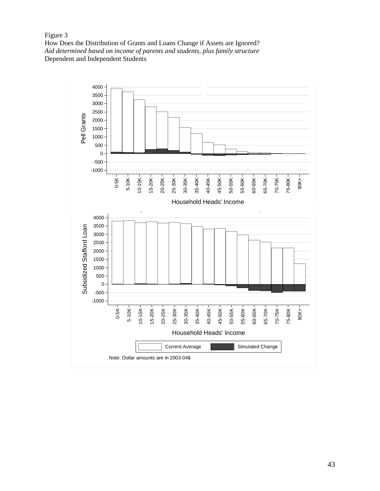# Figure 3

How Does the Distribution of Grants and Loans Change if Assets are Ignored? *Aid determined based on income of parents and students, plus family structure*  Dependent and Independent Students